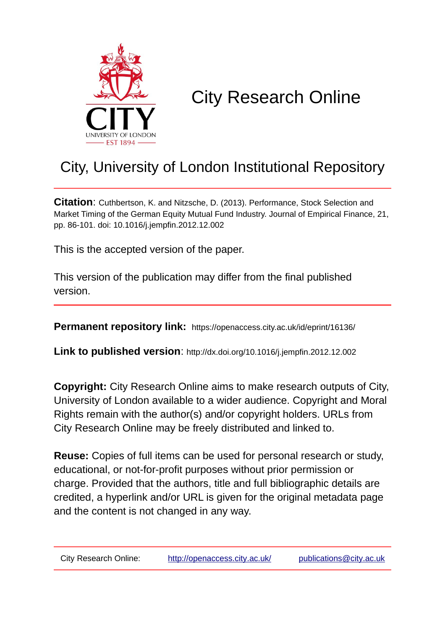

# City Research Online

# City, University of London Institutional Repository

**Citation**: Cuthbertson, K. and Nitzsche, D. (2013). Performance, Stock Selection and Market Timing of the German Equity Mutual Fund Industry. Journal of Empirical Finance, 21, pp. 86-101. doi: 10.1016/j.jempfin.2012.12.002

This is the accepted version of the paper.

This version of the publication may differ from the final published version.

**Permanent repository link:** https://openaccess.city.ac.uk/id/eprint/16136/

**Link to published version**: http://dx.doi.org/10.1016/j.jempfin.2012.12.002

**Copyright:** City Research Online aims to make research outputs of City, University of London available to a wider audience. Copyright and Moral Rights remain with the author(s) and/or copyright holders. URLs from City Research Online may be freely distributed and linked to.

**Reuse:** Copies of full items can be used for personal research or study, educational, or not-for-profit purposes without prior permission or charge. Provided that the authors, title and full bibliographic details are credited, a hyperlink and/or URL is given for the original metadata page and the content is not changed in any way.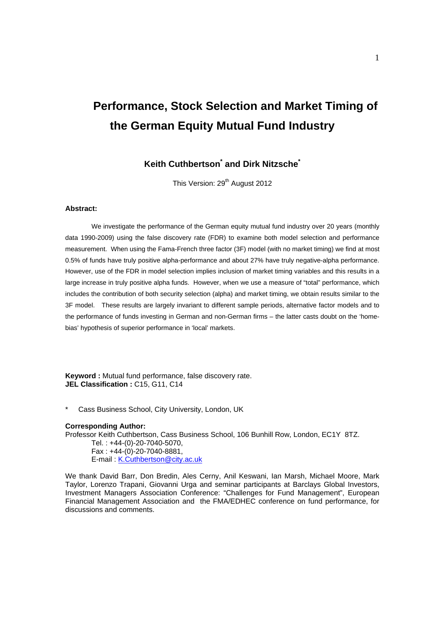# **Performance, Stock Selection and Market Timing of the German Equity Mutual Fund Industry**

## **Keith Cuthbertson\* and Dirk Nitzsche\***

This Version: 29<sup>th</sup> August 2012

#### **Abstract:**

We investigate the performance of the German equity mutual fund industry over 20 years (monthly data 1990-2009) using the false discovery rate (FDR) to examine both model selection and performance measurement. When using the Fama-French three factor (3F) model (with no market timing) we find at most 0.5% of funds have truly positive alpha-performance and about 27% have truly negative-alpha performance. However, use of the FDR in model selection implies inclusion of market timing variables and this results in a large increase in truly positive alpha funds. However, when we use a measure of "total" performance, which includes the contribution of both security selection (alpha) and market timing, we obtain results similar to the 3F model. These results are largely invariant to different sample periods, alternative factor models and to the performance of funds investing in German and non-German firms – the latter casts doubt on the 'homebias' hypothesis of superior performance in 'local' markets.

**Keyword :** Mutual fund performance, false discovery rate. **JEL Classification :** C15, G11, C14

Cass Business School, City University, London, UK

#### **Corresponding Author:**

Professor Keith Cuthbertson, Cass Business School, 106 Bunhill Row, London, EC1Y 8TZ.

Tel. : +44-(0)-20-7040-5070, Fax : +44-(0)-20-7040-8881, E-mail : K.Cuthbertson@city.ac.uk

We thank David Barr, Don Bredin, Ales Cerny, Anil Keswani, Ian Marsh, Michael Moore, Mark Taylor, Lorenzo Trapani, Giovanni Urga and seminar participants at Barclays Global Investors, Investment Managers Association Conference: "Challenges for Fund Management", European Financial Management Association and the FMA/EDHEC conference on fund performance, for discussions and comments.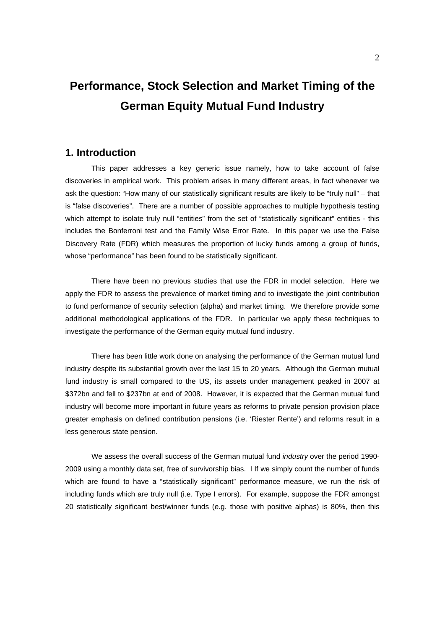# **Performance, Stock Selection and Market Timing of the German Equity Mutual Fund Industry**

## **1. Introduction**

This paper addresses a key generic issue namely, how to take account of false discoveries in empirical work. This problem arises in many different areas, in fact whenever we ask the question: "How many of our statistically significant results are likely to be "truly null" – that is "false discoveries". There are a number of possible approaches to multiple hypothesis testing which attempt to isolate truly null "entities" from the set of "statistically significant" entities - this includes the Bonferroni test and the Family Wise Error Rate. In this paper we use the False Discovery Rate (FDR) which measures the proportion of lucky funds among a group of funds, whose "performance" has been found to be statistically significant.

There have been no previous studies that use the FDR in model selection. Here we apply the FDR to assess the prevalence of market timing and to investigate the joint contribution to fund performance of security selection (alpha) and market timing. We therefore provide some additional methodological applications of the FDR. In particular we apply these techniques to investigate the performance of the German equity mutual fund industry.

There has been little work done on analysing the performance of the German mutual fund industry despite its substantial growth over the last 15 to 20 years. Although the German mutual fund industry is small compared to the US, its assets under management peaked in 2007 at \$372bn and fell to \$237bn at end of 2008. However, it is expected that the German mutual fund industry will become more important in future years as reforms to private pension provision place greater emphasis on defined contribution pensions (i.e. 'Riester Rente') and reforms result in a less generous state pension.

We assess the overall success of the German mutual fund *industry* over the period 1990- 2009 using a monthly data set, free of survivorship bias. I If we simply count the number of funds which are found to have a "statistically significant" performance measure, we run the risk of including funds which are truly null (i.e. Type I errors). For example, suppose the FDR amongst 20 statistically significant best/winner funds (e.g. those with positive alphas) is 80%, then this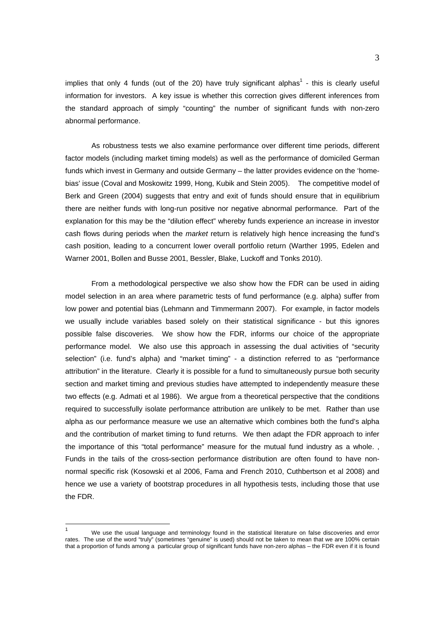implies that only 4 funds (out of the 20) have truly significant alphas<sup>1</sup> - this is clearly useful information for investors. A key issue is whether this correction gives different inferences from the standard approach of simply "counting" the number of significant funds with non-zero abnormal performance.

As robustness tests we also examine performance over different time periods, different factor models (including market timing models) as well as the performance of domiciled German funds which invest in Germany and outside Germany – the latter provides evidence on the 'homebias' issue (Coval and Moskowitz 1999, Hong, Kubik and Stein 2005). The competitive model of Berk and Green (2004) suggests that entry and exit of funds should ensure that in equilibrium there are neither funds with long-run positive nor negative abnormal performance. Part of the explanation for this may be the "dilution effect" whereby funds experience an increase in investor cash flows during periods when the *market* return is relatively high hence increasing the fund's cash position, leading to a concurrent lower overall portfolio return (Warther 1995, Edelen and Warner 2001, Bollen and Busse 2001, Bessler, Blake, Luckoff and Tonks 2010).

From a methodological perspective we also show how the FDR can be used in aiding model selection in an area where parametric tests of fund performance (e.g. alpha) suffer from low power and potential bias (Lehmann and Timmermann 2007). For example, in factor models we usually include variables based solely on their statistical significance - but this ignores possible false discoveries. We show how the FDR, informs our choice of the appropriate performance model. We also use this approach in assessing the dual activities of "security selection" (i.e. fund's alpha) and "market timing" - a distinction referred to as "performance attribution" in the literature. Clearly it is possible for a fund to simultaneously pursue both security section and market timing and previous studies have attempted to independently measure these two effects (e.g. Admati et al 1986). We argue from a theoretical perspective that the conditions required to successfully isolate performance attribution are unlikely to be met. Rather than use alpha as our performance measure we use an alternative which combines both the fund's alpha and the contribution of market timing to fund returns. We then adapt the FDR approach to infer the importance of this "total performance" measure for the mutual fund industry as a whole. , Funds in the tails of the cross-section performance distribution are often found to have nonnormal specific risk (Kosowski et al 2006, Fama and French 2010, Cuthbertson et al 2008) and hence we use a variety of bootstrap procedures in all hypothesis tests, including those that use the FDR.

 $\overline{1}$  $1$  We use the usual language and terminology found in the statistical literature on false discoveries and error rates. The use of the word "truly" (sometimes "genuine" is used) should not be taken to mean that we are 100% certain that a proportion of funds among a particular group of significant funds have non-zero alphas – the FDR even if it is found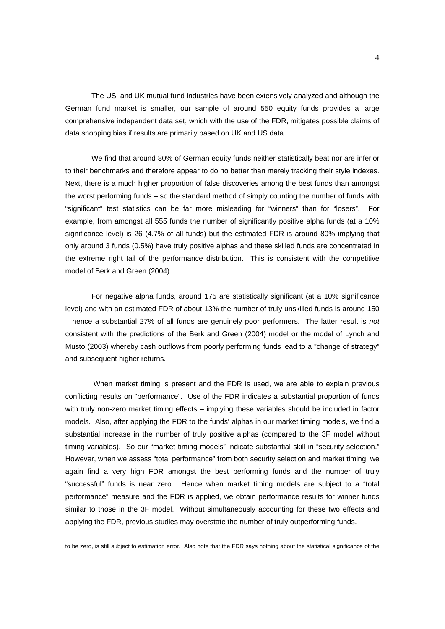The US and UK mutual fund industries have been extensively analyzed and although the German fund market is smaller, our sample of around 550 equity funds provides a large comprehensive independent data set, which with the use of the FDR, mitigates possible claims of data snooping bias if results are primarily based on UK and US data.

We find that around 80% of German equity funds neither statistically beat nor are inferior to their benchmarks and therefore appear to do no better than merely tracking their style indexes. Next, there is a much higher proportion of false discoveries among the best funds than amongst the worst performing funds – so the standard method of simply counting the number of funds with "significant" test statistics can be far more misleading for "winners" than for "losers". For example, from amongst all 555 funds the number of significantly positive alpha funds (at a 10% significance level) is 26 (4.7% of all funds) but the estimated FDR is around 80% implying that only around 3 funds (0.5%) have truly positive alphas and these skilled funds are concentrated in the extreme right tail of the performance distribution. This is consistent with the competitive model of Berk and Green (2004).

For negative alpha funds, around 175 are statistically significant (at a 10% significance level) and with an estimated FDR of about 13% the number of truly unskilled funds is around 150 – hence a substantial 27% of all funds are genuinely poor performers. The latter result is *not*  consistent with the predictions of the Berk and Green (2004) model or the model of Lynch and Musto (2003) whereby cash outflows from poorly performing funds lead to a "change of strategy" and subsequent higher returns.

 When market timing is present and the FDR is used, we are able to explain previous conflicting results on "performance". Use of the FDR indicates a substantial proportion of funds with truly non-zero market timing effects – implying these variables should be included in factor models. Also, after applying the FDR to the funds' alphas in our market timing models, we find a substantial increase in the number of truly positive alphas (compared to the 3F model without timing variables). So our "market timing models" indicate substantial skill in "security selection." However, when we assess "total performance" from both security selection and market timing, we again find a very high FDR amongst the best performing funds and the number of truly "successful" funds is near zero. Hence when market timing models are subject to a "total performance" measure and the FDR is applied, we obtain performance results for winner funds similar to those in the 3F model. Without simultaneously accounting for these two effects and applying the FDR, previous studies may overstate the number of truly outperforming funds.

-

to be zero, is still subject to estimation error. Also note that the FDR says nothing about the statistical significance of the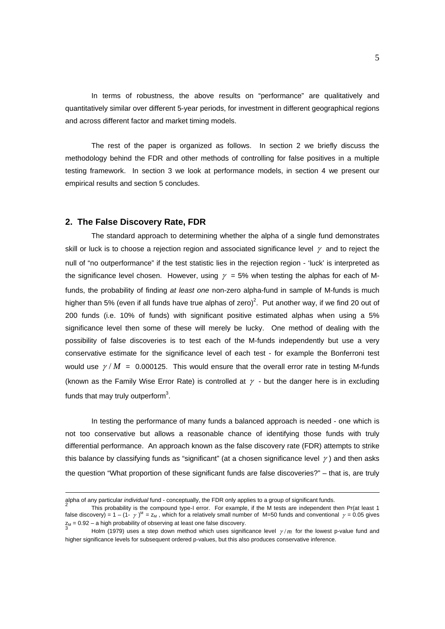In terms of robustness, the above results on "performance" are qualitatively and quantitatively similar over different 5-year periods, for investment in different geographical regions and across different factor and market timing models.

The rest of the paper is organized as follows. In section 2 we briefly discuss the methodology behind the FDR and other methods of controlling for false positives in a multiple testing framework. In section 3 we look at performance models, in section 4 we present our empirical results and section 5 concludes.

#### **2. The False Discovery Rate, FDR**

1

The standard approach to determining whether the alpha of a single fund demonstrates skill or luck is to choose a rejection region and associated significance level  $\gamma$  and to reject the null of "no outperformance" if the test statistic lies in the rejection region - 'luck' is interpreted as the significance level chosen. However, using  $\gamma = 5%$  when testing the alphas for each of Mfunds, the probability of finding *at least one* non-zero alpha-fund in sample of M-funds is much higher than 5% (even if all funds have true alphas of zero)<sup>2</sup>. Put another way, if we find 20 out of 200 funds (i.e. 10% of funds) with significant positive estimated alphas when using a 5% significance level then some of these will merely be lucky. One method of dealing with the possibility of false discoveries is to test each of the M-funds independently but use a very conservative estimate for the significance level of each test - for example the Bonferroni test would use  $\gamma/M = 0.000125$ . This would ensure that the overall error rate in testing M-funds (known as the Family Wise Error Rate) is controlled at  $\gamma$  - but the danger here is in excluding funds that may truly outperform $3$ .

In testing the performance of many funds a balanced approach is needed - one which is not too conservative but allows a reasonable chance of identifying those funds with truly differential performance. An approach known as the false discovery rate (FDR) attempts to strike this balance by classifying funds as "significant" (at a chosen significance level  $\gamma$ ) and then asks the question "What proportion of these significant funds are false discoveries?" – that is, are truly

alpha of any particular *individual* fund - conceptually, the FDR only applies to a group of significant funds. 2

This probability is the compound type-I error. For example, if the M tests are independent then Pr(at least 1 false discovery) = 1 – (1-  $\gamma$ )<sup>M</sup> =  $z_M$ , which for a relatively small number of M=50 funds and conventional  $\gamma$  = 0.05 gives  $z_M = 0.92 - a$  high probability of observing at least one false discovery.<br><sup>3</sup> Holm (1979) uses a step down method which uses significance level  $\gamma/m$  for the lowest p-value fund and

higher significance levels for subsequent ordered p-values, but this also produces conservative inference.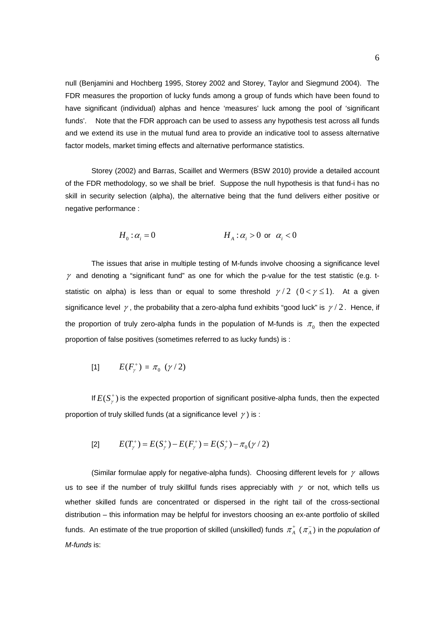null (Benjamini and Hochberg 1995, Storey 2002 and Storey, Taylor and Siegmund 2004). The FDR measures the proportion of lucky funds among a group of funds which have been found to have significant (individual) alphas and hence 'measures' luck among the pool of 'significant funds'. Note that the FDR approach can be used to assess any hypothesis test across all funds and we extend its use in the mutual fund area to provide an indicative tool to assess alternative factor models, market timing effects and alternative performance statistics.

Storey (2002) and Barras, Scaillet and Wermers (BSW 2010) provide a detailed account of the FDR methodology, so we shall be brief. Suppose the null hypothesis is that fund-i has no skill in security selection (alpha), the alternative being that the fund delivers either positive or negative performance :

$$
H_0: \alpha_i = 0 \qquad H_A: \alpha_i > 0 \text{ or } \alpha_i < 0
$$

The issues that arise in multiple testing of M-funds involve choosing a significance level  $\gamma$  and denoting a "significant fund" as one for which the p-value for the test statistic (e.g. tstatistic on alpha) is less than or equal to some threshold  $\gamma/2$  ( $0 < \gamma \le 1$ ). At a given significance level  $\gamma$ , the probability that a zero-alpha fund exhibits "good luck" is  $\gamma/2$ . Hence, if the proportion of truly zero-alpha funds in the population of M-funds is  $\pi_0$  then the expected proportion of false positives (sometimes referred to as lucky funds) is :

[1] 
$$
E(F_\gamma^+) = \pi_0 \, (\gamma/2)
$$

If  $E(S^+_{\gamma})$  is the expected proportion of significant positive-alpha funds, then the expected proportion of truly skilled funds (at a significance level  $\gamma$ ) is :

[2] 
$$
E(T_{\gamma}^{+}) = E(S_{\gamma}^{+}) - E(F_{\gamma}^{+}) = E(S_{\gamma}^{+}) - \pi_{0}(\gamma/2)
$$

(Similar formulae apply for negative-alpha funds). Choosing different levels for  $\gamma$  allows us to see if the number of truly skillful funds rises appreciably with  $\gamma$  or not, which tells us whether skilled funds are concentrated or dispersed in the right tail of the cross-sectional distribution – this information may be helpful for investors choosing an ex-ante portfolio of skilled funds. An estimate of the true proportion of skilled (unskilled) funds  $\pi^+_A$  ( $\pi^-_A$ ) in the *population of M-funds* is: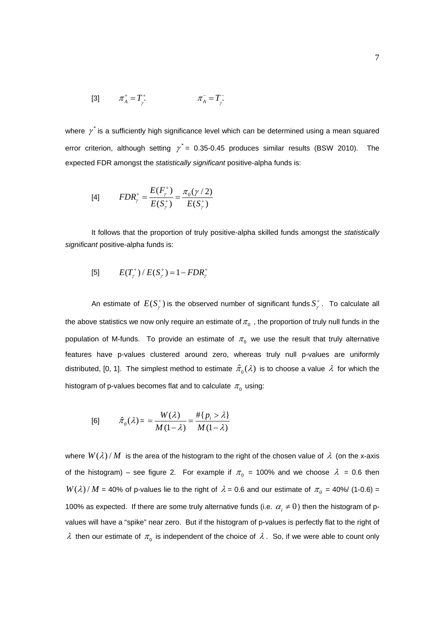[3] 
$$
\pi_A^+ = T_{\gamma^*}^+
$$
  $\pi_A^- = T_{\gamma^*}^-$ 

where  $\gamma^*$  is a sufficiently high significance level which can be determined using a mean squared error criterion, although setting  $\gamma^* = 0.35$ -0.45 produces similar results (BSW 2010). The expected FDR amongst the *statistically significant* positive-alpha funds is:

[4] 
$$
FDR_{\gamma}^{+} = \frac{E(F_{\gamma}^{+})}{E(S_{\gamma}^{+})} = \frac{\pi_{0}(\gamma/2)}{E(S_{\gamma}^{+})}
$$

It follows that the proportion of truly positive-alpha skilled funds amongst the *statistically significant* positive-alpha funds is:

[5] 
$$
E(T_{\gamma}^{+})/E(S_{\gamma}^{+})=1-FDR_{\gamma}^{+}
$$

An estimate of  $E(S^+_{\gamma})$  is the observed number of significant funds  $S^+_{\gamma}$ . To calculate all the above statistics we now only require an estimate of  $\pi_0$ , the proportion of truly null funds in the population of M-funds. To provide an estimate of  $\pi_0$  we use the result that truly alternative features have p-values clustered around zero, whereas truly null p-values are uniformly distributed, [0, 1]. The simplest method to estimate  $\hat{\pi}_0(\lambda)$  is to choose a value  $\lambda$  for which the histogram of p-values becomes flat and to calculate  $\pi_0$  using:

$$
[6] \qquad \hat{\pi}_0(\lambda) = \frac{W(\lambda)}{M(1-\lambda)} = \frac{\# \{p_i > \lambda\}}{M(1-\lambda)}
$$

where  $W(\lambda)/M$  is the area of the histogram to the right of the chosen value of  $\lambda$  (on the x-axis of the histogram) – see figure 2. For example if  $\pi_0 = 100\%$  and we choose  $\lambda = 0.6$  then  $W(\lambda)/M$  = 40% of p-values lie to the right of  $\lambda$  = 0.6 and our estimate of  $\pi_0$  = 40%/ (1-0.6) = 100% as expected. If there are some truly alternative funds (i.e.  $\alpha_i \neq 0$ ) then the histogram of pvalues will have a "spike" near zero. But if the histogram of p-values is perfectly flat to the right of  $\lambda$  then our estimate of  $\pi_{0}$  is independent of the choice of  $\lambda$ . So, if we were able to count only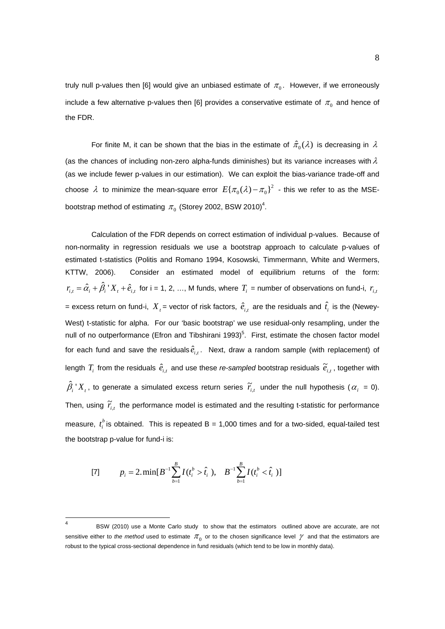truly null p-values then [6] would give an unbiased estimate of  $\pi_0$ . However, if we erroneously include a few alternative p-values then [6] provides a conservative estimate of  $\pi_0$  and hence of the FDR.

For finite M, it can be shown that the bias in the estimate of  $\hat{\pi}_{0} (\lambda)$  is decreasing in  $\lambda$ (as the chances of including non-zero alpha-funds diminishes) but its variance increases with  $\lambda$ (as we include fewer p-values in our estimation). We can exploit the bias-variance trade-off and choose  $\lambda$  to minimize the mean-square error  $E{\{\pi_{0}(\lambda) - \pi_{0}\}}^{2}$  - this we refer to as the MSEbootstrap method of estimating  $\pi_{0}$  (Storey 2002, BSW 2010)<sup>4</sup>.

Calculation of the FDR depends on correct estimation of individual p-values. Because of non-normality in regression residuals we use a bootstrap approach to calculate p-values of estimated t-statistics (Politis and Romano 1994, Kosowski, Timmermann, White and Wermers, KTTW, 2006). Consider an estimated model of equilibrium returns of the form:  $r_{i,t} = \hat{\alpha}_i + \hat{\beta}_i X_t + \hat{e}_{i,t}$  for i = 1, 2, ..., M funds, where  $T_i$  = number of observations on fund-i,  $r_{i,t}$ = excess return on fund-i,  $\,X_{\,t}$  = vector of risk factors,  $\,\hat{e}_{_{i,t}}\,$  are the residuals and  $\,\hat{t}_{_{i}}\,$  is the (Newey-West) t-statistic for alpha. For our 'basic bootstrap' we use residual-only resampling, under the null of no outperformance (Efron and Tibshirani 1993)<sup>5</sup>. First, estimate the chosen factor model for each fund and save the residuals  $\hat{e}_{i,t}$ . Next, draw a random sample (with replacement) of length  $T_i$  from the residuals  $\hat{e}_{i,t}$  and use these *re-sampled* bootstrap residuals  $\widetilde{e}_{i,t}$  , together with  $\hat{\beta}_i$  '  $X_i$ , to generate a simulated excess return series  $\widetilde{r}_{i,i}$  under the null hypothesis ( $\alpha_i$  = 0). Then, using  $\widetilde{r}_{i,t}$  the performance model is estimated and the resulting t-statistic for performance measure,  $t_i^b$  is obtained. This is repeated B = 1,000 times and for a two-sided, equal-tailed test the bootstrap p-value for fund-i is:

[7] 
$$
p_i = 2.\min[B^{-1}\sum_{b=1}^B I(t_i^b > \hat{t}_i), B^{-1}\sum_{b=1}^B I(t_i^b < \hat{t}_i)]
$$

 $\frac{1}{4}$  BSW (2010) use a Monte Carlo study to show that the estimators outlined above are accurate, are not sensitive either to *the method* used to estimate  $\pi_0$  or to the chosen significance level  $\gamma$  and that the estimators are robust to the typical cross-sectional dependence in fund residuals (which tend to be low in monthly data).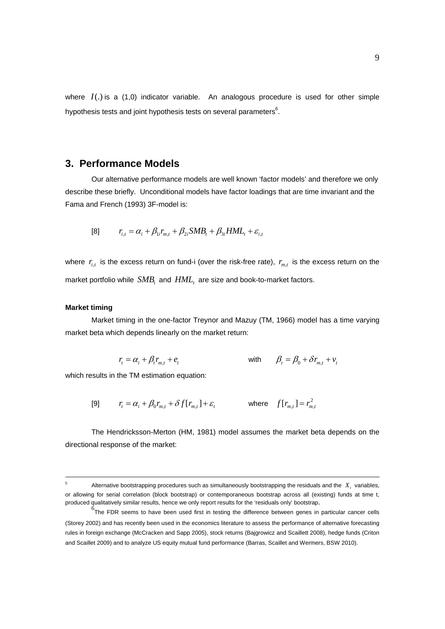where  $I(.)$  is a  $(1,0)$  indicator variable. An analogous procedure is used for other simple hypothesis tests and joint hypothesis tests on several parameters $^6$ .

### **3. Performance Models**

Our alternative performance models are well known 'factor models' and therefore we only describe these briefly. Unconditional models have factor loadings that are time invariant and the Fama and French (1993) 3F-model is:

[8] 
$$
r_{i,t} = \alpha_i + \beta_{1i} r_{m,t} + \beta_{2i} SMB_t + \beta_{3i} HML_t + \varepsilon_{i,t}
$$

where  $r_{i,t}$  is the excess return on fund-i (over the risk-free rate),  $r_{m,t}$  is the excess return on the market portfolio while  $SMB$ , and  $HML$ <sub>t</sub> are size and book-to-market factors.

#### **Market timing**

 $\overline{a}$ 

Market timing in the one-factor Treynor and Mazuy (TM, 1966) model has a time varying market beta which depends linearly on the market return:

$$
r_{t} = \alpha_{i} + \beta_{i} r_{m,t} + e_{t}
$$
 with  $\beta_{t} = \beta_{0} + \delta r_{m,t} + v_{t}$ 

which results in the TM estimation equation:

$$
[9] \qquad r_t = \alpha_t + \beta_0 r_{m,t} + \delta f[r_{m,t}] + \varepsilon_t \qquad \text{where} \quad f[r_{m,t}] = r_{m,t}^2
$$

The Hendricksson-Merton (HM, 1981) model assumes the market beta depends on the directional response of the market:

<sup>5</sup> Alternative bootstrapping procedures such as simultaneously bootstrapping the residuals and the  $X_t$  variables, or allowing for serial correlation (block bootstrap) or contemporaneous bootstrap across all (existing) funds at time t, produced qualitatively similar results, hence we only report results for the 'residuals only' bootstrap.

 $<sup>6</sup>$ The FDR seems to have been used first in testing the difference between genes in particular cancer cells</sup> (Storey 2002) and has recently been used in the economics literature to assess the performance of alternative forecasting rules in foreign exchange (McCracken and Sapp 2005), stock returns (Bajgrowicz and Scaillett 2008), hedge funds (Criton and Scaillet 2009) and to analyze US equity mutual fund performance (Barras, Scaillet and Wermers, BSW 2010).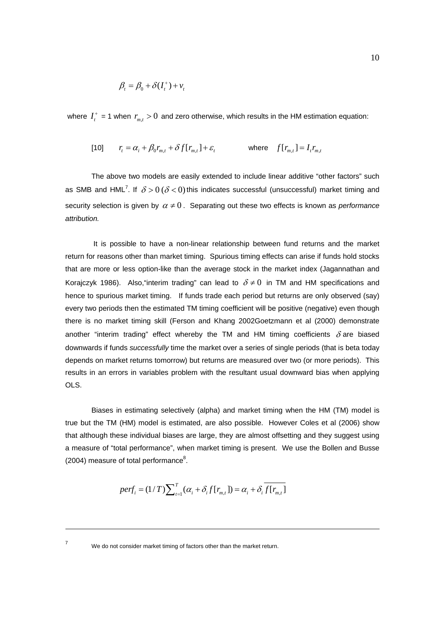$$
\beta_t = \beta_0 + \delta(I_t^+) + v_t
$$

where  $I_t^+$  = 1 when  $r_{m,t} > 0$  and zero otherwise, which results in the HM estimation equation:

$$
[10] \qquad r_t = \alpha_t + \beta_0 r_{m,t} + \delta f[r_{m,t}] + \varepsilon_t \qquad \text{where} \quad f[r_{m,t}] = I_t r_{m,t}
$$

The above two models are easily extended to include linear additive "other factors" such as SMB and HML<sup>7</sup>. If  $\delta$  > 0 ( $\delta$  < 0) this indicates successful (unsuccessful) market timing and security selection is given by  $\alpha \neq 0$ . Separating out these two effects is known as *performance attribution.* 

 It is possible to have a non-linear relationship between fund returns and the market return for reasons other than market timing. Spurious timing effects can arise if funds hold stocks that are more or less option-like than the average stock in the market index (Jagannathan and Korajczyk 1986). Also, "interim trading" can lead to  $\delta \neq 0$  in TM and HM specifications and hence to spurious market timing. If funds trade each period but returns are only observed (say) every two periods then the estimated TM timing coefficient will be positive (negative) even though there is no market timing skill (Ferson and Khang 2002Goetzmann et al (2000) demonstrate another "interim trading" effect whereby the TM and HM timing coefficients  $\delta$  are biased downwards if funds *successfully* time the market over a series of single periods (that is beta today depends on market returns tomorrow) but returns are measured over two (or more periods). This results in an errors in variables problem with the resultant usual downward bias when applying OLS.

Biases in estimating selectively (alpha) and market timing when the HM (TM) model is true but the TM (HM) model is estimated, are also possible. However Coles et al (2006) show that although these individual biases are large, they are almost offsetting and they suggest using a measure of "total performance", when market timing is present. We use the Bollen and Busse  $(2004)$  measure of total performance $8$ .

$$
perf_i = (1/T) \sum_{t=1}^{T} (\alpha_i + \delta_i f[r_{m,t}]) = \alpha_i + \delta_i \overline{f[r_{m,t}]}
$$

We do not consider market timing of factors other than the market return.

-7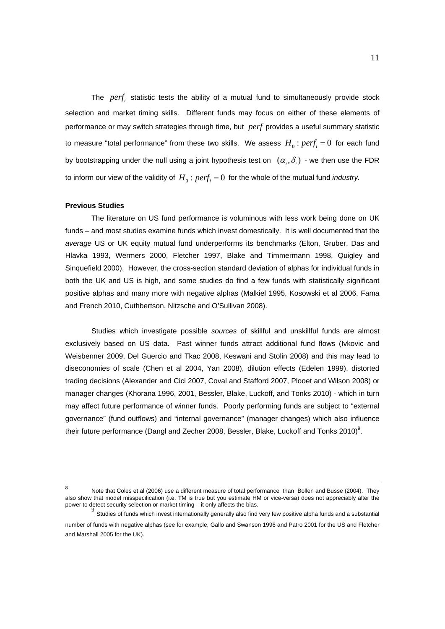The *perf<sub>i</sub>* statistic tests the ability of a mutual fund to simultaneously provide stock selection and market timing skills. Different funds may focus on either of these elements of performance or may switch strategies through time, but *perf* provides a useful summary statistic to measure "total performance" from these two skills. We assess  $H_0$ :  $perf_i = 0$  for each fund by bootstrapping under the null using a joint hypothesis test on  $(\alpha_i, \delta_i)$  - we then use the FDR to inform our view of the validity of  $H_0$ :  $perf_i = 0$  for the whole of the mutual fund *industry*.

#### **Previous Studies**

The literature on US fund performance is voluminous with less work being done on UK funds – and most studies examine funds which invest domestically. It is well documented that the *average* US or UK equity mutual fund underperforms its benchmarks (Elton, Gruber, Das and Hlavka 1993, Wermers 2000, Fletcher 1997, Blake and Timmermann 1998, Quigley and Sinquefield 2000). However, the cross-section standard deviation of alphas for individual funds in both the UK and US is high, and some studies do find a few funds with statistically significant positive alphas and many more with negative alphas (Malkiel 1995, Kosowski et al 2006, Fama and French 2010, Cuthbertson, Nitzsche and O'Sullivan 2008).

Studies which investigate possible *sources* of skillful and unskillful funds are almost exclusively based on US data. Past winner funds attract additional fund flows (Ivkovic and Weisbenner 2009, Del Guercio and Tkac 2008, Keswani and Stolin 2008) and this may lead to diseconomies of scale (Chen et al 2004, Yan 2008), dilution effects (Edelen 1999), distorted trading decisions (Alexander and Cici 2007, Coval and Stafford 2007, Plooet and Wilson 2008) or manager changes (Khorana 1996, 2001, Bessler, Blake, Luckoff, and Tonks 2010) - which in turn may affect future performance of winner funds. Poorly performing funds are subject to "external governance" (fund outflows) and "internal governance" (manager changes) which also influence their future performance (Dangl and Zecher 2008, Bessler, Blake, Luckoff and Tonks 2010)<sup>9</sup>.

8 Note that Coles et al (2006) use a different measure of total performance than Bollen and Busse (2004). They also show that model misspecification (i.e. TM is true but you estimate HM or vice-versa) does not appreciably alter the power to detect security selection or market timing – it only affects the bias.

<sup>9</sup> Studies of funds which invest internationally generally also find very few positive alpha funds and a substantial number of funds with negative alphas (see for example, Gallo and Swanson 1996 and Patro 2001 for the US and Fletcher and Marshall 2005 for the UK).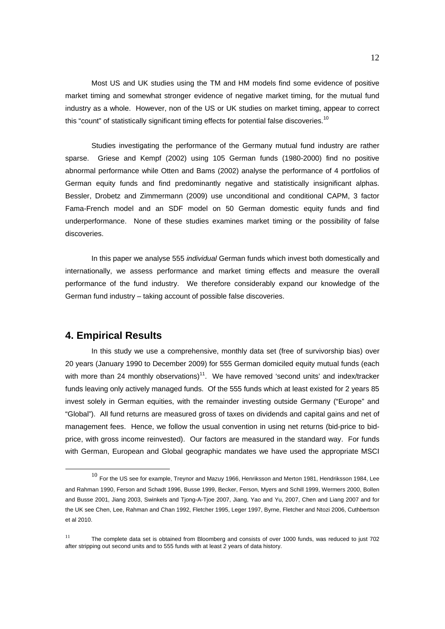Most US and UK studies using the TM and HM models find some evidence of positive market timing and somewhat stronger evidence of negative market timing, for the mutual fund industry as a whole. However, non of the US or UK studies on market timing, appear to correct this "count" of statistically significant timing effects for potential false discoveries.<sup>10</sup>

Studies investigating the performance of the Germany mutual fund industry are rather sparse. Griese and Kempf (2002) using 105 German funds (1980-2000) find no positive abnormal performance while Otten and Bams (2002) analyse the performance of 4 portfolios of German equity funds and find predominantly negative and statistically insignificant alphas. Bessler, Drobetz and Zimmermann (2009) use unconditional and conditional CAPM, 3 factor Fama-French model and an SDF model on 50 German domestic equity funds and find underperformance. None of these studies examines market timing or the possibility of false discoveries.

In this paper we analyse 555 *individual* German funds which invest both domestically and internationally, we assess performance and market timing effects and measure the overall performance of the fund industry. We therefore considerably expand our knowledge of the German fund industry – taking account of possible false discoveries.

### **4. Empirical Results**

In this study we use a comprehensive, monthly data set (free of survivorship bias) over 20 years (January 1990 to December 2009) for 555 German domiciled equity mutual funds (each with more than 24 monthly observations)<sup>11</sup>. We have removed 'second units' and index/tracker funds leaving only actively managed funds. Of the 555 funds which at least existed for 2 years 85 invest solely in German equities, with the remainder investing outside Germany ("Europe" and "Global"). All fund returns are measured gross of taxes on dividends and capital gains and net of management fees. Hence, we follow the usual convention in using net returns (bid-price to bidprice, with gross income reinvested). Our factors are measured in the standard way. For funds with German, European and Global geographic mandates we have used the appropriate MSCI

 $^{10}$  For the US see for example, Treynor and Mazuy 1966, Henriksson and Merton 1981, Hendriksson 1984, Lee and Rahman 1990, Ferson and Schadt 1996, Busse 1999, Becker, Ferson, Myers and Schill 1999, Wermers 2000, Bollen and Busse 2001, Jiang 2003, Swinkels and Tjong-A-Tjoe 2007, Jiang, Yao and Yu, 2007, Chen and Liang 2007 and for the UK see Chen, Lee, Rahman and Chan 1992, Fletcher 1995, Leger 1997, Byrne, Fletcher and Ntozi 2006, Cuthbertson et al 2010.

<sup>&</sup>lt;sup>11</sup> The complete data set is obtained from Bloomberg and consists of over 1000 funds, was reduced to just 702 after stripping out second units and to 555 funds with at least 2 years of data history.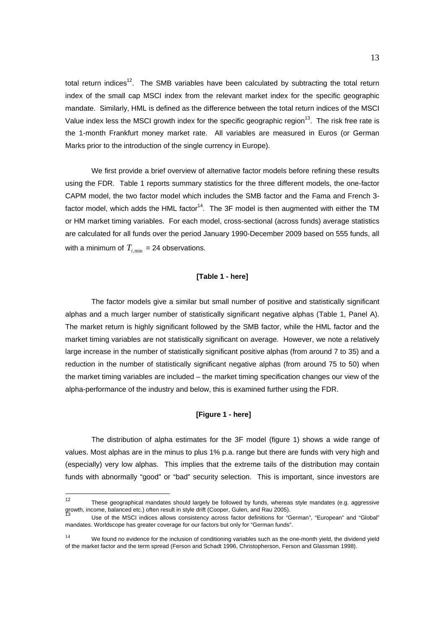total return indices<sup>12</sup>. The SMB variables have been calculated by subtracting the total return index of the small cap MSCI index from the relevant market index for the specific geographic mandate. Similarly, HML is defined as the difference between the total return indices of the MSCI Value index less the MSCI growth index for the specific geographic region<sup>13</sup>. The risk free rate is the 1-month Frankfurt money market rate. All variables are measured in Euros (or German Marks prior to the introduction of the single currency in Europe).

We first provide a brief overview of alternative factor models before refining these results using the FDR. Table 1 reports summary statistics for the three different models, the one-factor CAPM model, the two factor model which includes the SMB factor and the Fama and French 3 factor model, which adds the HML factor<sup>14</sup>. The 3F model is then augmented with either the TM or HM market timing variables. For each model, cross-sectional (across funds) average statistics are calculated for all funds over the period January 1990-December 2009 based on 555 funds, all with a minimum of  $T_{i,min}$  = 24 observations.

#### **[Table 1 - here]**

The factor models give a similar but small number of positive and statistically significant alphas and a much larger number of statistically significant negative alphas (Table 1, Panel A). The market return is highly significant followed by the SMB factor, while the HML factor and the market timing variables are not statistically significant on average. However, we note a relatively large increase in the number of statistically significant positive alphas (from around 7 to 35) and a reduction in the number of statistically significant negative alphas (from around 75 to 50) when the market timing variables are included – the market timing specification changes our view of the alpha-performance of the industry and below, this is examined further using the FDR.

#### **[Figure 1 - here]**

The distribution of alpha estimates for the 3F model (figure 1) shows a wide range of values. Most alphas are in the minus to plus 1% p.a. range but there are funds with very high and (especially) very low alphas. This implies that the extreme tails of the distribution may contain funds with abnormally "good" or "bad" security selection. This is important, since investors are

 $12$ These geographical mandates should largely be followed by funds, whereas style mandates (e.g. aggressive growth, income, balanced etc.) often result in style drift (Cooper, Gulen, and Rau 2005).

Use of the MSCI indices allows consistency across factor definitions for "German", "European" and "Global" mandates. Worldscope has greater coverage for our factors but only for "German funds".

<sup>&</sup>lt;sup>14</sup> We found no evidence for the inclusion of conditioning variables such as the one-month yield, the dividend yield of the market factor and the term spread (Ferson and Schadt 1996, Christopherson, Ferson and Glassman 1998).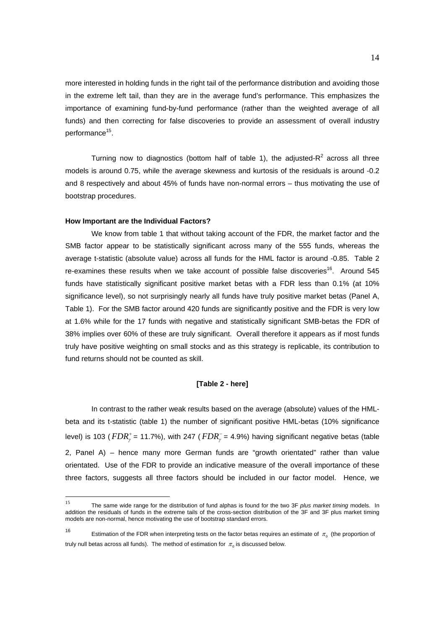more interested in holding funds in the right tail of the performance distribution and avoiding those in the extreme left tail, than they are in the average fund's performance. This emphasizes the importance of examining fund-by-fund performance (rather than the weighted average of all funds) and then correcting for false discoveries to provide an assessment of overall industry performance<sup>15</sup>.

Turning now to diagnostics (bottom half of table 1), the adjusted- $R^2$  across all three models is around 0.75, while the average skewness and kurtosis of the residuals is around -0.2 and 8 respectively and about 45% of funds have non-normal errors – thus motivating the use of bootstrap procedures.

#### **How Important are the Individual Factors?**

We know from table 1 that without taking account of the FDR, the market factor and the SMB factor appear to be statistically significant across many of the 555 funds, whereas the average t-statistic (absolute value) across all funds for the HML factor is around -0.85. Table 2 re-examines these results when we take account of possible false discoveries<sup>16</sup>. Around 545 funds have statistically significant positive market betas with a FDR less than 0.1% (at 10% significance level), so not surprisingly nearly all funds have truly positive market betas (Panel A, Table 1). For the SMB factor around 420 funds are significantly positive and the FDR is very low at 1.6% while for the 17 funds with negative and statistically significant SMB-betas the FDR of 38% implies over 60% of these are truly significant. Overall therefore it appears as if most funds truly have positive weighting on small stocks and as this strategy is replicable, its contribution to fund returns should not be counted as skill.

#### **[Table 2 - here]**

In contrast to the rather weak results based on the average (absolute) values of the HMLbeta and its t-statistic (table 1) the number of significant positive HML-betas (10% significance level) is 103 (  $FDR_\gamma^+$  = 11.7%), with 247 (  $FDR_\gamma^-$  = 4.9%) having significant negative betas (table 2, Panel A) – hence many more German funds are "growth orientated" rather than value orientated. Use of the FDR to provide an indicative measure of the overall importance of these three factors, suggests all three factors should be included in our factor model. Hence, we

<sup>15</sup> 15 The same wide range for the distribution of fund alphas is found for the two 3F *plus market timing* models. In addition the residuals of funds in the extreme tails of the cross-section distribution of the 3F and 3F plus market timing models are non-normal, hence motivating the use of bootstrap standard errors.

 $16$ Estimation of the FDR when interpreting tests on the factor betas requires an estimate of  $\pi_0$  (the proportion of truly null betas across all funds). The method of estimation for  $\pi_0$  is discussed below.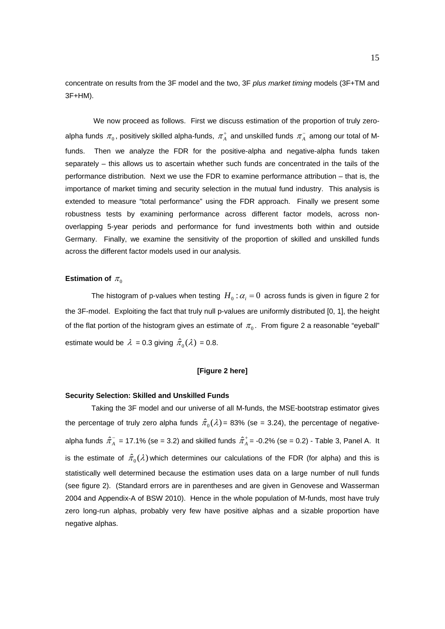concentrate on results from the 3F model and the two, 3F *plus market timing* models (3F+TM and 3F+HM).

 We now proceed as follows. First we discuss estimation of the proportion of truly zeroalpha funds  $\pi_{_0}$ , positively skilled alpha-funds,  $\pi^+_A$  and unskilled funds  $\pi^-_A$  among our total of Mfunds. Then we analyze the FDR for the positive-alpha and negative-alpha funds taken separately – this allows us to ascertain whether such funds are concentrated in the tails of the performance distribution. Next we use the FDR to examine performance attribution – that is, the importance of market timing and security selection in the mutual fund industry. This analysis is extended to measure "total performance" using the FDR approach. Finally we present some robustness tests by examining performance across different factor models, across nonoverlapping 5-year periods and performance for fund investments both within and outside Germany. Finally, we examine the sensitivity of the proportion of skilled and unskilled funds across the different factor models used in our analysis.

#### **Estimation of**  $\pi$ <sup>0</sup>

The histogram of p-values when testing  $H_0 : \alpha_i = 0$  across funds is given in figure 2 for the 3F-model. Exploiting the fact that truly null p-values are uniformly distributed [0, 1], the height of the flat portion of the histogram gives an estimate of  $\pi_0$ . From figure 2 a reasonable "eyeball" estimate would be  $\lambda = 0.3$  giving  $\hat{\pi}_0(\lambda) = 0.8$ .

#### **[Figure 2 here]**

#### **Security Selection: Skilled and Unskilled Funds**

Taking the 3F model and our universe of all M-funds, the MSE-bootstrap estimator gives the percentage of truly zero alpha funds  $\hat{\pi}_{0} (\lambda) = 83\%$  (se = 3.24), the percentage of negativealpha funds  $\hat{\pi}_A^-$  = 17.1% (se = 3.2) and skilled funds  $\hat{\pi}_A^+$  = -0.2% (se = 0.2) - Table 3, Panel A. It is the estimate of  $\hat{\pi}_{0}(\lambda)$  which determines our calculations of the FDR (for alpha) and this is statistically well determined because the estimation uses data on a large number of null funds (see figure 2). (Standard errors are in parentheses and are given in Genovese and Wasserman 2004 and Appendix-A of BSW 2010). Hence in the whole population of M-funds, most have truly zero long-run alphas, probably very few have positive alphas and a sizable proportion have negative alphas.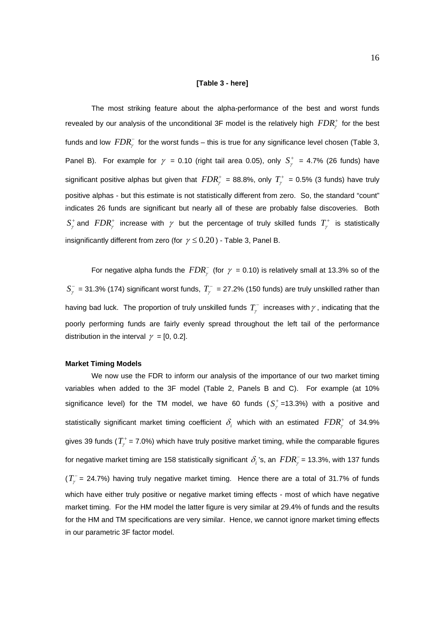#### **[Table 3 - here]**

The most striking feature about the alpha-performance of the best and worst funds revealed by our analysis of the unconditional 3F model is the relatively high  $FDR^+_y$  for the best funds and low  $FDR_\gamma^-$  for the worst funds – this is true for any significance level chosen (Table 3, Panel B). For example for  $\gamma = 0.10$  (right tail area 0.05), only  $S^+_{\gamma} = 4.7\%$  (26 funds) have significant positive alphas but given that  $FDR^+_{\gamma}$  = 88.8%, only  $T^+_{\gamma}$  = 0.5% (3 funds) have truly positive alphas - but this estimate is not statistically different from zero. So, the standard "count" indicates 26 funds are significant but nearly all of these are probably false discoveries. Both  $S^+$  and  $FDR^+_r$  increase with  $\gamma$  but the percentage of truly skilled funds  $T^+_r$  is statistically insignificantly different from zero (for  $\gamma \le 0.20$ ) - Table 3, Panel B.

For negative alpha funds the  $FDR_\gamma^-$  (for  $\gamma$  = 0.10) is relatively small at 13.3% so of the  $S_{\gamma}^{-}$  = 31.3% (174) significant worst funds,  $T_{\gamma}^{-}$  = 27.2% (150 funds) are truly unskilled rather than having bad luck. The proportion of truly unskilled funds  $T_{\gamma}^-$  increases with  $\gamma$  , indicating that the poorly performing funds are fairly evenly spread throughout the left tail of the performance distribution in the interval  $\gamma = [0, 0.2]$ .

#### **Market Timing Models**

We now use the FDR to inform our analysis of the importance of our two market timing variables when added to the 3F model (Table 2, Panels B and C). For example (at 10% significance level) for the TM model, we have 60 funds  $(S^+_{\ell})$ =13.3%) with a positive and statistically significant market timing coefficient  $\delta_i$  which with an estimated  $FDR^+_r$  of 34.9% gives 39 funds ( $T^+$  = 7.0%) which have truly positive market timing, while the comparable figures for negative market timing are 158 statistically significant  $\delta_i$  's, an  $FDR_\gamma^-$  = 13.3%, with 137 funds  $(T_{\gamma}^{-}$  = 24.7%) having truly negative market timing. Hence there are a total of 31.7% of funds which have either truly positive or negative market timing effects - most of which have negative market timing. For the HM model the latter figure is very similar at 29.4% of funds and the results for the HM and TM specifications are very similar. Hence, we cannot ignore market timing effects in our parametric 3F factor model.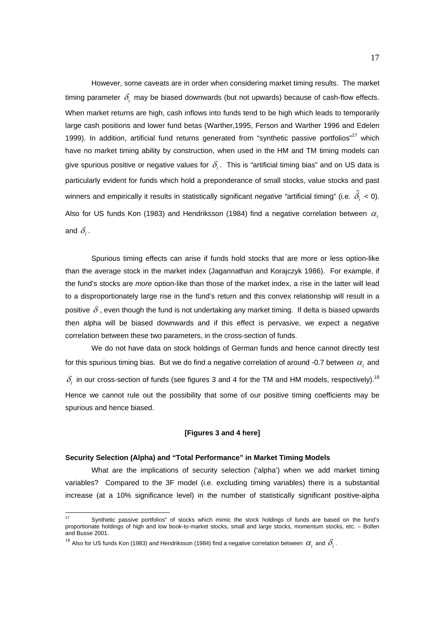However, some caveats are in order when considering market timing results. The market timing parameter  $\delta$ , may be biased downwards (but not upwards) because of cash-flow effects. When market returns are high, cash inflows into funds tend to be high which leads to temporarily large cash positions and lower fund betas (Warther,1995, Ferson and Warther 1996 and Edelen 1999). In addition, artificial fund returns generated from "synthetic passive portfolios"<sup>17</sup> which have no market timing ability by construction, when used in the HM and TM timing models can give spurious positive or negative values for  $\delta$ . This is "artificial timing bias" and on US data is particularly evident for funds which hold a preponderance of small stocks, value stocks and past winners and empirically it results in statistically significant *negative "*artificial timing" (i.e.  $\hat{\delta_i}$  < 0). Also for US funds Kon (1983) and Hendriksson (1984) find a negative correlation between  $\alpha$ . and  $\delta$ <sub>i</sub>.

Spurious timing effects can arise if funds hold stocks that are more or less option-like than the average stock in the market index (Jagannathan and Korajczyk 1986). For example, if the fund's stocks are *more* option-like than those of the market index, a rise in the latter will lead to a disproportionately large rise in the fund's return and this convex relationship will result in a positive  $\delta$ , even though the fund is not undertaking any market timing. If delta is biased upwards then alpha will be biased downwards and if this effect is pervasive, we expect a negative correlation between these two parameters, in the cross-section of funds.

We do not have data on stock holdings of German funds and hence cannot directly test for this spurious timing bias. But we do find a negative correlation of around -0.7 between  $\alpha_i$  and  $\delta_i$  in our cross-section of funds (see figures 3 and 4 for the TM and HM models, respectively).<sup>18</sup> Hence we cannot rule out the possibility that some of our positive timing coefficients may be spurious and hence biased.

#### **[Figures 3 and 4 here]**

#### **Security Selection (Alpha) and "Total Performance" in Market Timing Models**

What are the implications of security selection ('alpha') when we add market timing variables? Compared to the 3F model (i.e. excluding timing variables) there is a substantial increase (at a 10% significance level) in the number of statistically significant positive-alpha

-

Synthetic passive portfolios" of stocks which mimic the stock holdings of funds are based on the fund's proportionate holdings of high and low book-to-market stocks, small and large stocks, momentum stocks, etc. – Bollen and Busse 2001.

<sup>&</sup>lt;sup>18</sup> Also for US funds Kon (1983) and Hendriksson (1984) find a negative correlation between  $\alpha_i$  and  $\delta_i$ .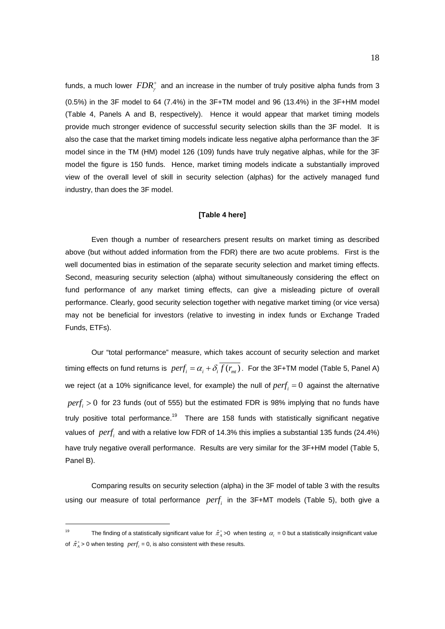funds, a much lower  $\mathit{FDR}^+_{\gamma}$  and an increase in the number of truly positive alpha funds from 3  $(0.5%)$  in the 3F model to 64  $(7.4%)$  in the 3F+TM model and 96  $(13.4%)$  in the 3F+HM model (Table 4, Panels A and B, respectively). Hence it would appear that market timing models provide much stronger evidence of successful security selection skills than the 3F model. It is also the case that the market timing models indicate less negative alpha performance than the 3F model since in the TM (HM) model 126 (109) funds have truly negative alphas, while for the 3F model the figure is 150 funds. Hence, market timing models indicate a substantially improved view of the overall level of skill in security selection (alphas) for the actively managed fund industry, than does the 3F model.

#### **[Table 4 here]**

Even though a number of researchers present results on market timing as described above (but without added information from the FDR) there are two acute problems. First is the well documented bias in estimation of the separate security selection and market timing effects. Second, measuring security selection (alpha) without simultaneously considering the effect on fund performance of any market timing effects, can give a misleading picture of overall performance. Clearly, good security selection together with negative market timing (or vice versa) may not be beneficial for investors (relative to investing in index funds or Exchange Traded Funds, ETFs).

Our "total performance" measure, which takes account of security selection and market timing effects on fund returns is  $\text{perf}_i = \alpha_i + \delta_i \overline{f(r_{int})}$ . For the 3F+TM model (Table 5, Panel A) we reject (at a 10% significance level, for example) the null of  $perf<sub>i</sub> = 0$  against the alternative  $perf<sub>i</sub> > 0$  for 23 funds (out of 555) but the estimated FDR is 98% implying that no funds have truly positive total performance.<sup>19</sup> There are 158 funds with statistically significant negative values of *perf<sub>i</sub>* and with a relative low FDR of 14.3% this implies a substantial 135 funds (24.4%) have truly negative overall performance. Results are very similar for the 3F+HM model (Table 5, Panel B).

Comparing results on security selection (alpha) in the 3F model of table 3 with the results using our measure of total performance *perf<sub>i</sub>* in the 3F+MT models (Table 5), both give a

-

<sup>&</sup>lt;sup>19</sup> The finding of a statistically significant value for  $\hat{\pi}_A^+$  >0 when testing  $\alpha_i$  = 0 but a statistically insignificant value of  $\hat{\pi}_{A}^{+}$  > 0 when testing  $\text{perf}_i = 0$ , is also consistent with these results.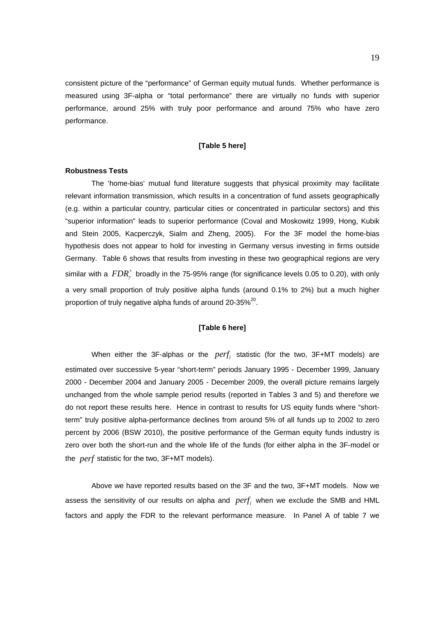consistent picture of the "performance" of German equity mutual funds. Whether performance is measured using 3F-alpha or "total performance" there are virtually no funds with superior performance, around 25% with truly poor performance and around 75% who have zero performance.

#### **[Table 5 here]**

#### **Robustness Tests**

The 'home-bias' mutual fund literature suggests that physical proximity may facilitate relevant information transmission, which results in a concentration of fund assets geographically (e.g. within a particular country, particular cities or concentrated in particular sectors) and this "superior information" leads to superior performance (Coval and Moskowitz 1999, Hong, Kubik and Stein 2005, Kacperczyk, Sialm and Zheng, 2005). For the 3F model the home-bias hypothesis does not appear to hold for investing in Germany versus investing in firms outside Germany. Table 6 shows that results from investing in these two geographical regions are very similar with a  $FDR_\gamma^+$  broadly in the 75-95% range (for significance levels 0.05 to 0.20), with only a very small proportion of truly positive alpha funds (around 0.1% to 2%) but a much higher proportion of truly negative alpha funds of around 20-35%<sup>20</sup>.

#### **[Table 6 here]**

When either the 3F-alphas or the *perf*, statistic (for the two, 3F+MT models) are estimated over successive 5-year "short-term" periods January 1995 - December 1999, January 2000 - December 2004 and January 2005 - December 2009, the overall picture remains largely unchanged from the whole sample period results (reported in Tables 3 and 5) and therefore we do not report these results here. Hence in contrast to results for US equity funds where "shortterm" truly positive alpha-performance declines from around 5% of all funds up to 2002 to zero percent by 2006 (BSW 2010), the positive performance of the German equity funds industry is zero over both the short-run and the whole life of the funds (for either alpha in the 3F-model or the *perf* statistic for the two, 3F+MT models).

Above we have reported results based on the 3F and the two, 3F+MT models. Now we assess the sensitivity of our results on alpha and *perf<sub>i</sub>* when we exclude the SMB and HML factors and apply the FDR to the relevant performance measure. In Panel A of table 7 we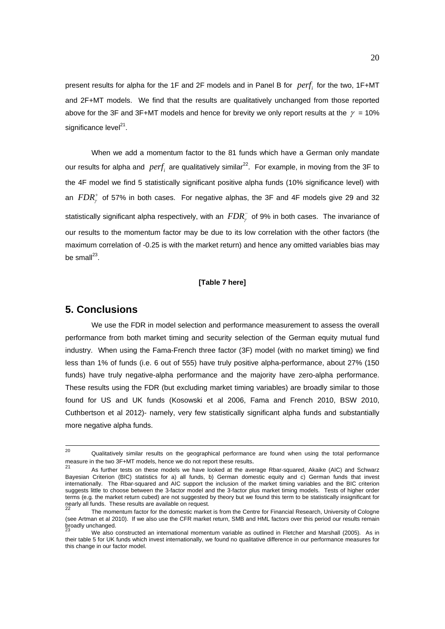present results for alpha for the 1F and 2F models and in Panel B for *perf*; for the two, 1F+MT and 2F+MT models. We find that the results are qualitatively unchanged from those reported above for the 3F and 3F+MT models and hence for brevity we only report results at the  $\gamma = 10\%$ significance level $^{21}$ .

When we add a momentum factor to the 81 funds which have a German only mandate our results for alpha and *perf*, are qualitatively similar<sup>22</sup>. For example, in moving from the 3F to the 4F model we find 5 statistically significant positive alpha funds (10% significance level) with an  $FDR<sub>j</sub><sup>+</sup>$  of 57% in both cases. For negative alphas, the 3F and 4F models give 29 and 32 statistically significant alpha respectively, with an  $FDR_\gamma^-$  of 9% in both cases. The invariance of our results to the momentum factor may be due to its low correlation with the other factors (the maximum correlation of -0.25 is with the market return) and hence any omitted variables bias may be small $^{23}$ .

#### **[Table 7 here]**

### **5. Conclusions**

We use the FDR in model selection and performance measurement to assess the overall performance from both market timing and security selection of the German equity mutual fund industry.When using the Fama-French three factor (3F) model (with no market timing) we find less than 1% of funds (i.e. 6 out of 555) have truly positive alpha-performance, about 27% (150 funds) have truly negative-alpha performance and the majority have zero-alpha performance. These results using the FDR (but excluding market timing variables) are broadly similar to those found for US and UK funds (Kosowski et al 2006, Fama and French 2010, BSW 2010, Cuthbertson et al 2012)- namely, very few statistically significant alpha funds and substantially more negative alpha funds.

<sup>&</sup>lt;sup>20</sup> Qualitatively similar results on the geographical performance are found when using the total performance measure in the two 3F+MT models, hence we do not report these results.<br><sup>21</sup> As further tests on these models we have looked at the average Rbar-squared, Akaike (AIC) and Schwarz

Bayesian Criterion (BIC) statistics for a) all funds, b) German domestic equity and c) German funds that invest internationally. The Rbar-squared and AIC support the inclusion of the market timing variables and the BIC criterion suggests little to choose between the 3-factor model and the 3-factor plus market timing models. Tests of higher order terms (e.g. the market return cubed) are not suggested by theory but we found this term to be statistically insignificant for nearly all funds. These results are available on request.

<sup>22</sup> The momentum factor for the domestic market is from the Centre for Financial Research, University of Cologne (see Artman et al 2010). If we also use the CFR market return, SMB and HML factors over this period our results remain broadly unchanged.

<sup>23</sup> We also constructed an international momentum variable as outlined in Fletcher and Marshall (2005). As in their table 5 for UK funds which invest internationally, we found no qualitative difference in our performance measures for this change in our factor model.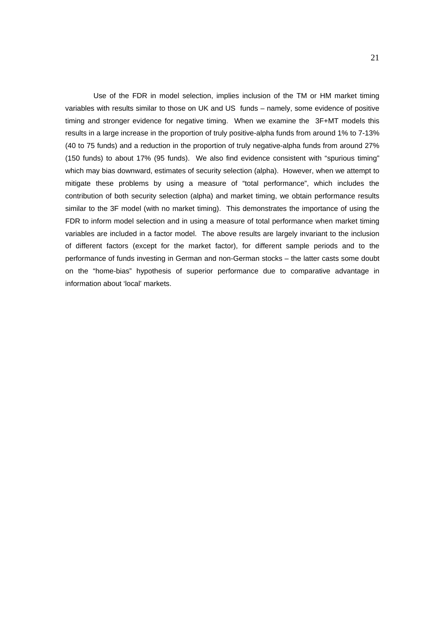Use of the FDR in model selection, implies inclusion of the TM or HM market timing variables with results similar to those on UK and US funds – namely, some evidence of positive timing and stronger evidence for negative timing. When we examine the 3F+MT models this results in a large increase in the proportion of truly positive-alpha funds from around 1% to 7-13% (40 to 75 funds) and a reduction in the proportion of truly negative-alpha funds from around 27% (150 funds) to about 17% (95 funds). We also find evidence consistent with "spurious timing" which may bias downward, estimates of security selection (alpha). However, when we attempt to mitigate these problems by using a measure of "total performance", which includes the contribution of both security selection (alpha) and market timing, we obtain performance results similar to the 3F model (with no market timing). This demonstrates the importance of using the FDR to inform model selection and in using a measure of total performance when market timing variables are included in a factor model. The above results are largely invariant to the inclusion of different factors (except for the market factor), for different sample periods and to the performance of funds investing in German and non-German stocks – the latter casts some doubt on the "home-bias" hypothesis of superior performance due to comparative advantage in information about 'local' markets.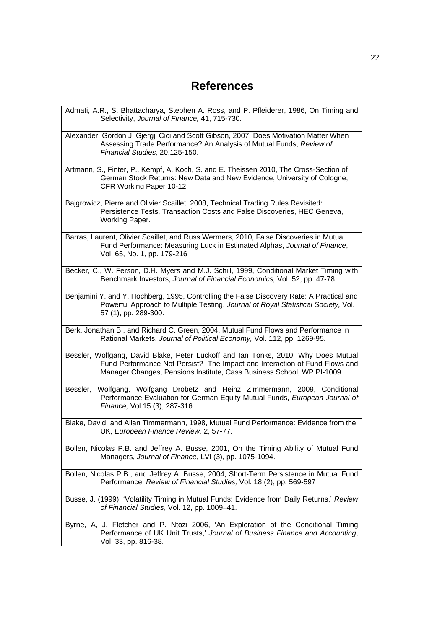# **References**

| Admati, A.R., S. Bhattacharya, Stephen A. Ross, and P. Pfleiderer, 1986, On Timing and<br>Selectivity, Journal of Finance, 41, 715-730.                                                                                                    |
|--------------------------------------------------------------------------------------------------------------------------------------------------------------------------------------------------------------------------------------------|
| Alexander, Gordon J, Gjergji Cici and Scott Gibson, 2007, Does Motivation Matter When<br>Assessing Trade Performance? An Analysis of Mutual Funds, Review of<br>Financial Studies, 20,125-150.                                             |
| Artmann, S., Finter, P., Kempf, A, Koch, S. and E. Theissen 2010, The Cross-Section of<br>German Stock Returns: New Data and New Evidence, University of Cologne,<br>CFR Working Paper 10-12.                                              |
| Bajgrowicz, Pierre and Olivier Scaillet, 2008, Technical Trading Rules Revisited:<br>Persistence Tests, Transaction Costs and False Discoveries, HEC Geneva,<br>Working Paper.                                                             |
| Barras, Laurent, Olivier Scaillet, and Russ Wermers, 2010, False Discoveries in Mutual<br>Fund Performance: Measuring Luck in Estimated Alphas, Journal of Finance,<br>Vol. 65, No. 1, pp. 179-216                                         |
| Becker, C., W. Ferson, D.H. Myers and M.J. Schill, 1999, Conditional Market Timing with<br>Benchmark Investors, Journal of Financial Economics, Vol. 52, pp. 47-78.                                                                        |
| Benjamini Y. and Y. Hochberg, 1995, Controlling the False Discovery Rate: A Practical and<br>Powerful Approach to Multiple Testing, Journal of Royal Statistical Society, Vol.<br>57 (1), pp. 289-300.                                     |
| Berk, Jonathan B., and Richard C. Green, 2004, Mutual Fund Flows and Performance in<br>Rational Markets, Journal of Political Economy, Vol. 112, pp. 1269-95.                                                                              |
| Bessler, Wolfgang, David Blake, Peter Luckoff and Ian Tonks, 2010, Why Does Mutual<br>Fund Performance Not Persist? The Impact and Interaction of Fund Flows and<br>Manager Changes, Pensions Institute, Cass Business School, WP PI-1009. |
| Wolfgang, Wolfgang Drobetz and Heinz Zimmermann, 2009, Conditional<br>Bessler,<br>Performance Evaluation for German Equity Mutual Funds, European Journal of<br>Finance, Vol 15 (3), 287-316.                                              |
| Blake, David, and Allan Timmermann, 1998, Mutual Fund Performance: Evidence from the<br>UK, European Finance Review, 2, 57-77.                                                                                                             |
| Bollen, Nicolas P.B. and Jeffrey A. Busse, 2001, On the Timing Ability of Mutual Fund<br>Managers, Journal of Finance, LVI (3), pp. 1075-1094.                                                                                             |
| Bollen, Nicolas P.B., and Jeffrey A. Busse, 2004, Short-Term Persistence in Mutual Fund<br>Performance, Review of Financial Studies, Vol. 18 (2), pp. 569-597                                                                              |
| Busse, J. (1999), 'Volatility Timing in Mutual Funds: Evidence from Daily Returns,' Review<br>of Financial Studies, Vol. 12, pp. 1009-41.                                                                                                  |
| Byrne, A, J. Fletcher and P. Ntozi 2006, 'An Exploration of the Conditional Timing<br>Performance of UK Unit Trusts,' Journal of Business Finance and Accounting,<br>Vol. 33, pp. 816-38.                                                  |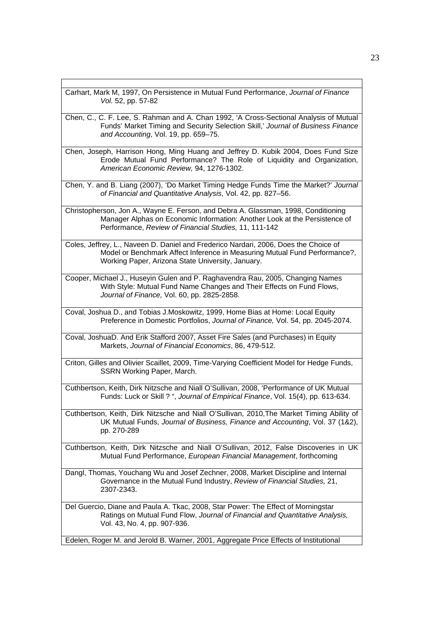| Carhart, Mark M, 1997, On Persistence in Mutual Fund Performance, Journal of Finance<br>Vol. 52, pp. 57-82                                                                                                                |
|---------------------------------------------------------------------------------------------------------------------------------------------------------------------------------------------------------------------------|
| Chen, C., C. F. Lee, S. Rahman and A. Chan 1992, 'A Cross-Sectional Analysis of Mutual<br>Funds' Market Timing and Security Selection Skill,' Journal of Business Finance<br>and Accounting, Vol. 19, pp. 659-75.         |
| Chen, Joseph, Harrison Hong, Ming Huang and Jeffrey D. Kubik 2004, Does Fund Size<br>Erode Mutual Fund Performance? The Role of Liquidity and Organization,<br>American Economic Review, 94, 1276-1302.                   |
| Chen, Y. and B. Liang (2007), 'Do Market Timing Hedge Funds Time the Market?' Journal<br>of Financial and Quantitative Analysis, Vol. 42, pp. 827-56.                                                                     |
| Christopherson, Jon A., Wayne E. Ferson, and Debra A. Glassman, 1998, Conditioning<br>Manager Alphas on Economic Information: Another Look at the Persistence of<br>Performance, Review of Financial Studies, 11, 111-142 |
| Coles, Jeffrey, L., Naveen D. Daniel and Frederico Nardari, 2006, Does the Choice of<br>Model or Benchmark Affect Inference in Measuring Mutual Fund Performance?,<br>Working Paper, Arizona State University, January.   |
| Cooper, Michael J., Huseyin Gulen and P. Raghavendra Rau, 2005, Changing Names<br>With Style: Mutual Fund Name Changes and Their Effects on Fund Flows,<br>Journal of Finance, Vol. 60, pp. 2825-2858.                    |
| Coval, Joshua D., and Tobias J.Moskowitz, 1999, Home Bias at Home: Local Equity<br>Preference in Domestic Portfolios, Journal of Finance, Vol. 54, pp. 2045-2074.                                                         |
| Coval, JoshuaD. And Erik Stafford 2007, Asset Fire Sales (and Purchases) in Equity<br>Markets, Journal of Financial Economics, 86, 479-512.                                                                               |
| Criton, Gilles and Olivier Scaillet, 2009, Time-Varying Coefficient Model for Hedge Funds,<br>SSRN Working Paper, March.                                                                                                  |
| Cuthbertson, Keith, Dirk Nitzsche and Niall O'Sullivan, 2008, 'Performance of UK Mutual<br>Funds: Luck or Skill ? ", Journal of Empirical Finance, Vol. 15(4), pp. 613-634.                                               |
| Cuthbertson, Keith, Dirk Nitzsche and Niall O'Sullivan, 2010, The Market Timing Ability of<br>UK Mutual Funds, Journal of Business, Finance and Accounting, Vol. 37 (1&2),<br>pp. 270-289                                 |
| Cuthbertson, Keith, Dirk Nitzsche and Niall O'Sullivan, 2012, False Discoveries in UK<br>Mutual Fund Performance, European Financial Management, forthcoming                                                              |
| Dangl, Thomas, Youchang Wu and Josef Zechner, 2008, Market Discipline and Internal<br>Governance in the Mutual Fund Industry, Review of Financial Studies, 21,<br>2307-2343.                                              |
| Del Guercio, Diane and Paula A. Tkac, 2008, Star Power: The Effect of Morningstar<br>Ratings on Mutual Fund Flow, Journal of Financial and Quantitative Analysis,<br>Vol. 43, No. 4, pp. 907-936.                         |
| Edelen, Roger M. and Jerold B. Warner, 2001, Aggregate Price Effects of Institutional                                                                                                                                     |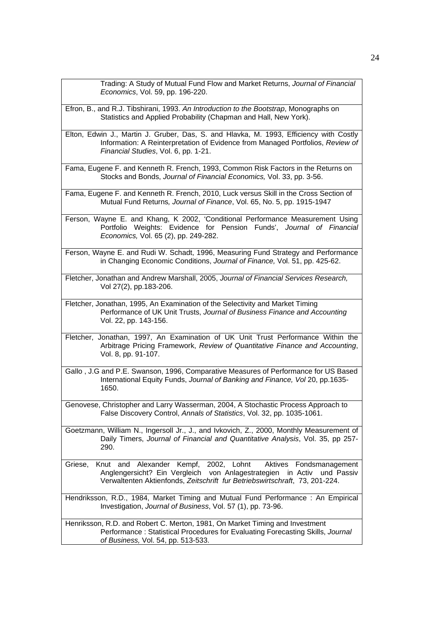| Trading: A Study of Mutual Fund Flow and Market Returns, Journal of Financial<br>Economics, Vol. 59, pp. 196-220.                                                                                                                          |
|--------------------------------------------------------------------------------------------------------------------------------------------------------------------------------------------------------------------------------------------|
| Efron, B., and R.J. Tibshirani, 1993. An Introduction to the Bootstrap, Monographs on<br>Statistics and Applied Probability (Chapman and Hall, New York).                                                                                  |
| Elton, Edwin J., Martin J. Gruber, Das, S. and Hlavka, M. 1993, Efficiency with Costly<br>Information: A Reinterpretation of Evidence from Managed Portfolios, Review of<br>Financial Studies, Vol. 6, pp. 1-21.                           |
| Fama, Eugene F. and Kenneth R. French, 1993, Common Risk Factors in the Returns on<br>Stocks and Bonds, Journal of Financial Economics, Vol. 33, pp. 3-56.                                                                                 |
| Fama, Eugene F. and Kenneth R. French, 2010, Luck versus Skill in the Cross Section of<br>Mutual Fund Returns, Journal of Finance, Vol. 65, No. 5, pp. 1915-1947                                                                           |
| Ferson, Wayne E. and Khang, K 2002, 'Conditional Performance Measurement Using<br>Portfolio Weights: Evidence for Pension Funds', Journal of Financial<br>Economics, Vol. 65 (2), pp. 249-282.                                             |
| Ferson, Wayne E. and Rudi W. Schadt, 1996, Measuring Fund Strategy and Performance<br>in Changing Economic Conditions, Journal of Finance, Vol. 51, pp. 425-62.                                                                            |
| Fletcher, Jonathan and Andrew Marshall, 2005, Journal of Financial Services Research,<br>Vol 27(2), pp.183-206.                                                                                                                            |
| Fletcher, Jonathan, 1995, An Examination of the Selectivity and Market Timing<br>Performance of UK Unit Trusts, Journal of Business Finance and Accounting<br>Vol. 22, pp. 143-156.                                                        |
| Fletcher, Jonathan, 1997, An Examination of UK Unit Trust Performance Within the<br>Arbitrage Pricing Framework, Review of Quantitative Finance and Accounting,<br>Vol. 8, pp. 91-107.                                                     |
| Gallo, J.G and P.E. Swanson, 1996, Comparative Measures of Performance for US Based<br>International Equity Funds, Journal of Banking and Finance, Vol 20, pp.1635-<br>1650.                                                               |
| Genovese, Christopher and Larry Wasserman, 2004, A Stochastic Process Approach to<br>False Discovery Control, Annals of Statistics, Vol. 32, pp. 1035-1061.                                                                                |
| Goetzmann, William N., Ingersoll Jr., J., and Ivkovich, Z., 2000, Monthly Measurement of<br>Daily Timers, Journal of Financial and Quantitative Analysis, Vol. 35, pp 257-<br>290.                                                         |
| Knut and Alexander Kempf, 2002, Lohnt<br>Aktives<br>Griese,<br>Fondsmanagement<br>Anglengersicht? Ein Vergleich von Anlagestrategien in Activ<br>und Passiv<br>Verwaltenten Aktienfonds, Zeitschrift fur Betriebswirtschraft, 73, 201-224. |
| Hendriksson, R.D., 1984, Market Timing and Mutual Fund Performance : An Empirical<br>Investigation, Journal of Business, Vol. 57 (1), pp. 73-96.                                                                                           |
| Henriksson, R.D. and Robert C. Merton, 1981, On Market Timing and Investment<br>Performance: Statistical Procedures for Evaluating Forecasting Skills, Journal<br>of Business, Vol. 54, pp. 513-533.                                       |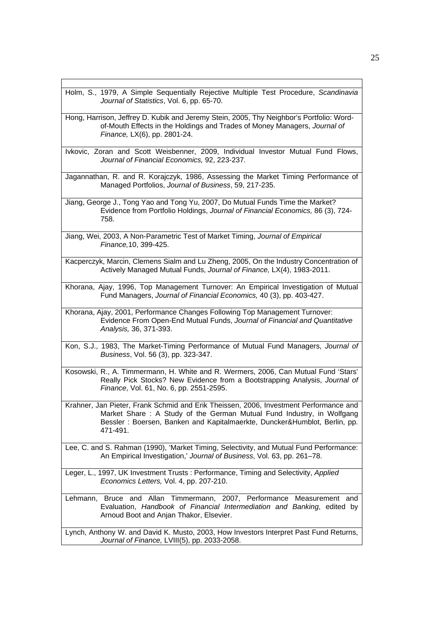| Holm, S., 1979, A Simple Sequentially Rejective Multiple Test Procedure, Scandinavia<br>Journal of Statistics, Vol. 6, pp. 65-70.                                                                                                                       |
|---------------------------------------------------------------------------------------------------------------------------------------------------------------------------------------------------------------------------------------------------------|
| Hong, Harrison, Jeffrey D. Kubik and Jeremy Stein, 2005, Thy Neighbor's Portfolio: Word-<br>of-Mouth Effects in the Holdings and Trades of Money Managers, Journal of<br>Finance, LX(6), pp. 2801-24.                                                   |
| Ivkovic, Zoran and Scott Weisbenner, 2009, Individual Investor Mutual Fund Flows,<br>Journal of Financial Economics, 92, 223-237.                                                                                                                       |
| Jagannathan, R. and R. Korajczyk, 1986, Assessing the Market Timing Performance of<br>Managed Portfolios, Journal of Business, 59, 217-235.                                                                                                             |
| Jiang, George J., Tong Yao and Tong Yu, 2007, Do Mutual Funds Time the Market?<br>Evidence from Portfolio Holdings, Journal of Financial Economics, 86 (3), 724-<br>758.                                                                                |
| Jiang, Wei, 2003, A Non-Parametric Test of Market Timing, Journal of Empirical<br>Finance, 10, 399-425.                                                                                                                                                 |
| Kacperczyk, Marcin, Clemens Sialm and Lu Zheng, 2005, On the Industry Concentration of<br>Actively Managed Mutual Funds, Journal of Finance, LX(4), 1983-2011.                                                                                          |
| Khorana, Ajay, 1996, Top Management Turnover: An Empirical Investigation of Mutual<br>Fund Managers, Journal of Financial Economics, 40 (3), pp. 403-427.                                                                                               |
| Khorana, Ajay, 2001, Performance Changes Following Top Management Turnover:<br>Evidence From Open-End Mutual Funds, Journal of Financial and Quantitative<br>Analysis, 36, 371-393.                                                                     |
| Kon, S.J., 1983, The Market-Timing Performance of Mutual Fund Managers, Journal of<br>Business, Vol. 56 (3), pp. 323-347.                                                                                                                               |
| Kosowski, R., A. Timmermann, H. White and R. Wermers, 2006, Can Mutual Fund 'Stars'<br>Really Pick Stocks? New Evidence from a Bootstrapping Analysis, Journal of<br>Finance, Vol. 61, No. 6, pp. 2551-2595.                                            |
| Krahner, Jan Pieter, Frank Schmid and Erik Theissen, 2006, Investment Performance and<br>Market Share: A Study of the German Mutual Fund Industry, in Wolfgang<br>Bessler: Boersen, Banken and Kapitalmaerkte, Duncker&Humblot, Berlin, pp.<br>471-491. |
| Lee, C. and S. Rahman (1990), 'Market Timing, Selectivity, and Mutual Fund Performance:<br>An Empirical Investigation,' Journal of Business, Vol. 63, pp. 261-78.                                                                                       |
| Leger, L., 1997, UK Investment Trusts : Performance, Timing and Selectivity, Applied<br>Economics Letters, Vol. 4, pp. 207-210.                                                                                                                         |
| Lehmann, Bruce and Allan Timmermann, 2007, Performance Measurement and<br>Evaluation, Handbook of Financial Intermediation and Banking, edited by<br>Arnoud Boot and Anjan Thakor, Elsevier.                                                            |
| Lynch, Anthony W. and David K. Musto, 2003, How Investors Interpret Past Fund Returns,<br>Journal of Finance, LVIII(5), pp. 2033-2058.                                                                                                                  |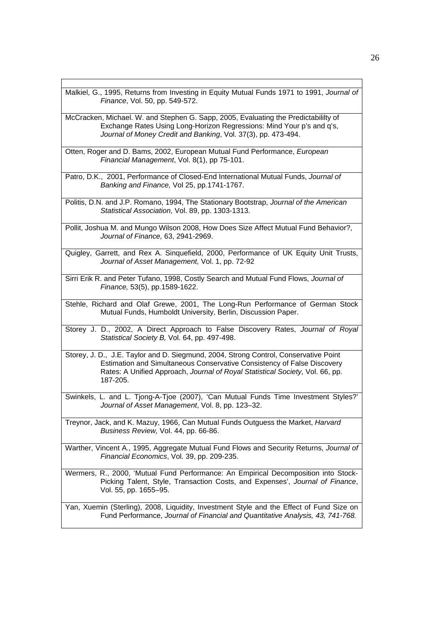Malkiel, G., 1995, Returns from Investing in Equity Mutual Funds 1971 to 1991, *Journal of Finance*, Vol. 50, pp. 549-572.

McCracken, Michael. W. and Stephen G. Sapp, 2005, Evaluating the Predictabililty of Exchange Rates Using Long-Horizon Regressions: Mind Your p's and q's, *Journal of Money Credit and Banking*, Vol. 37(3), pp. 473-494.

Otten, Roger and D. Bams, 2002, European Mutual Fund Performance, *European Financial Management*, Vol. 8(1), pp 75-101.

Patro, D.K., 2001, Performance of Closed-End International Mutual Funds, *Journal of Banking and Finance,* Vol 25, pp.1741-1767.

Politis, D.N. and J.P. Romano, 1994, The Stationary Bootstrap, *Journal of the American Statistical Association,* Vol. 89, pp. 1303-1313.

Pollit, Joshua M. and Mungo Wilson 2008, How Does Size Affect Mutual Fund Behavior?, *Journal of Finance,* 63, 2941-2969.

Quigley, Garrett, and Rex A. Sinquefield, 2000, Performance of UK Equity Unit Trusts, *Journal of Asset Management,* Vol. 1, pp. 72-92

Sirri Erik R. and Peter Tufano, 1998, Costly Search and Mutual Fund Flows, *Journal of Finance,* 53(5), pp.1589-1622.

Stehle, Richard and Olaf Grewe, 2001, The Long-Run Performance of German Stock Mutual Funds, Humboldt University, Berlin, Discussion Paper.

Storey J. D., 2002, A Direct Approach to False Discovery Rates, *Journal of Royal Statistical Society B,* Vol. 64, pp. 497-498.

Storey, J. D., J.E. Taylor and D. Siegmund, 2004, Strong Control, Conservative Point Estimation and Simultaneous Conservative Consistency of False Discovery Rates: A Unified Approach, *Journal of Royal Statistical Society,* Vol. 66, pp. 187-205.

Swinkels, L. and L. Tjong-A-Tjoe (2007), 'Can Mutual Funds Time Investment Styles?' *Journal of Asset Management*, Vol. 8, pp. 123–32.

Treynor, Jack, and K. Mazuy, 1966, Can Mutual Funds Outguess the Market, *Harvard Business Review,* Vol. 44, pp. 66-86.

Warther, Vincent A., 1995, Aggregate Mutual Fund Flows and Security Returns, *Journal of Financial Economics*, Vol. 39, pp. 209-235.

Wermers, R., 2000, 'Mutual Fund Performance: An Empirical Decomposition into Stock-Picking Talent, Style, Transaction Costs, and Expenses', *Journal of Finance*, Vol. 55, pp. 1655–95.

Yan, Xuemin (Sterling), 2008, Liquidity, Investment Style and the Effect of Fund Size on Fund Performance, *Journal of Financial and Quantitative Analysis, 43, 741-768.*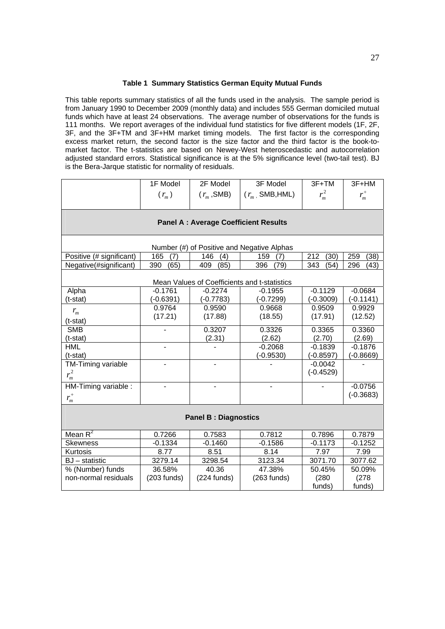#### **Table 1 Summary Statistics German Equity Mutual Funds**

This table reports summary statistics of all the funds used in the analysis. The sample period is from January 1990 to December 2009 (monthly data) and includes 555 German domiciled mutual funds which have at least 24 observations. The average number of observations for the funds is 111 months. We report averages of the individual fund statistics for five different models (1F, 2F, 3F, and the 3F+TM and 3F+HM market timing models. The first factor is the corresponding excess market return, the second factor is the size factor and the third factor is the book-tomarket factor. The t-statistics are based on Newey-West heteroscedastic and autocorrelation adjusted standard errors. Statistical significance is at the 5% significance level (two-tail test). BJ is the Bera-Jarque statistic for normality of residuals.

|                                            | 1F Model                                    | 2F Model                    | 3F Model                                     | $3F+TM$     | 3F+HM       |  |  |  |  |  |  |  |  |  |
|--------------------------------------------|---------------------------------------------|-----------------------------|----------------------------------------------|-------------|-------------|--|--|--|--|--|--|--|--|--|
|                                            | $(r_m)$                                     | $(r_m, \text{SMB})$         | $(r_m, \text{SMB}, \text{HML})$              | $r_m^2$     | $r_m^+$     |  |  |  |  |  |  |  |  |  |
|                                            |                                             |                             |                                              |             |             |  |  |  |  |  |  |  |  |  |
|                                            |                                             |                             |                                              |             |             |  |  |  |  |  |  |  |  |  |
|                                            | <b>Panel A: Average Coefficient Results</b> |                             |                                              |             |             |  |  |  |  |  |  |  |  |  |
|                                            |                                             |                             |                                              |             |             |  |  |  |  |  |  |  |  |  |
| Number (#) of Positive and Negative Alphas |                                             |                             |                                              |             |             |  |  |  |  |  |  |  |  |  |
| Positive (# significant)                   | 165<br>(7)                                  | 146<br>(4)                  | 159<br>(7)                                   | 212<br>(30) | 259<br>(38) |  |  |  |  |  |  |  |  |  |
| Negative(#significant)                     | 390<br>(65)                                 | 409<br>(85)<br>396<br>(79)  |                                              | 343<br>(54) | 296<br>(43) |  |  |  |  |  |  |  |  |  |
|                                            |                                             |                             |                                              |             |             |  |  |  |  |  |  |  |  |  |
|                                            |                                             |                             | Mean Values of Coefficients and t-statistics |             |             |  |  |  |  |  |  |  |  |  |
| Alpha                                      | $-0.1761$                                   | $-0.2274$                   | $-0.1955$                                    | $-0.1129$   | $-0.0684$   |  |  |  |  |  |  |  |  |  |
| (t-stat)                                   | $(-0.6391)$                                 | $(-0.7783)$                 | $(-0.7299)$                                  | $(-0.3009)$ | $(-0.1141)$ |  |  |  |  |  |  |  |  |  |
| $r_{m}$                                    | 0.9764                                      | 0.9590                      | 0.9668                                       | 0.9509      | 0.9929      |  |  |  |  |  |  |  |  |  |
| (t-stat)                                   | (17.21)                                     | (17.88)                     | (18.55)                                      | (17.91)     | (12.52)     |  |  |  |  |  |  |  |  |  |
| <b>SMB</b>                                 |                                             | 0.3207                      | 0.3326                                       | 0.3365      | 0.3360      |  |  |  |  |  |  |  |  |  |
| (t-stat)                                   |                                             | (2.31)                      | (2.62)                                       | (2.70)      | (2.69)      |  |  |  |  |  |  |  |  |  |
| <b>HML</b>                                 | $\overline{a}$                              |                             | $-0.2068$                                    | $-0.1839$   | $-0.1876$   |  |  |  |  |  |  |  |  |  |
| (t-stat)                                   |                                             |                             | $(-0.9530)$                                  | $(-0.8597)$ | $(-0.8669)$ |  |  |  |  |  |  |  |  |  |
| TM-Timing variable                         |                                             |                             |                                              | $-0.0042$   |             |  |  |  |  |  |  |  |  |  |
| $r_m^2$                                    |                                             |                             |                                              | $(-0.4529)$ |             |  |  |  |  |  |  |  |  |  |
| HM-Timing variable :                       |                                             |                             |                                              |             | $-0.0756$   |  |  |  |  |  |  |  |  |  |
| $r_m^+$                                    |                                             |                             |                                              |             | $(-0.3683)$ |  |  |  |  |  |  |  |  |  |
|                                            |                                             |                             |                                              |             |             |  |  |  |  |  |  |  |  |  |
|                                            |                                             | <b>Panel B: Diagnostics</b> |                                              |             |             |  |  |  |  |  |  |  |  |  |
|                                            |                                             |                             |                                              |             |             |  |  |  |  |  |  |  |  |  |
| Mean $R^2$                                 | 0.7266                                      | 0.7583                      | 0.7812                                       | 0.7896      | 0.7879      |  |  |  |  |  |  |  |  |  |
| <b>Skewness</b>                            | $-0.1334$                                   | $-0.1460$                   | $-0.1586$                                    | $-0.1173$   | $-0.1252$   |  |  |  |  |  |  |  |  |  |
| Kurtosis                                   | 8.77                                        | 8.51                        | 8.14                                         | 7.97        | 7.99        |  |  |  |  |  |  |  |  |  |
| $BJ - statistic$                           | 3279.14                                     | 3298.54                     | 3123.34                                      | 3071.70     | 3077.62     |  |  |  |  |  |  |  |  |  |
| % (Number) funds                           | 36.58%                                      | 40.36                       | 47.38%                                       | 50.45%      | 50.09%      |  |  |  |  |  |  |  |  |  |
| non-normal residuals                       | $(203$ funds)                               | $(224 \text{ funds})$       | $(263$ funds)                                | (280)       | (278)       |  |  |  |  |  |  |  |  |  |
|                                            |                                             |                             |                                              | funds)      | funds)      |  |  |  |  |  |  |  |  |  |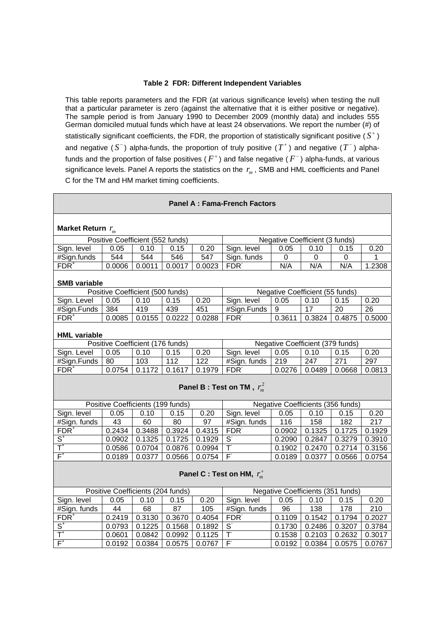#### **Table 2 FDR: Different Independent Variables**

This table reports parameters and the FDR (at various significance levels) when testing the null that a particular parameter is zero (against the alternative that it is either positive or negative). The sample period is from January 1990 to December 2009 (monthly data) and includes 555 German domiciled mutual funds which have at least 24 observations. We report the number (#) of statistically significant coefficients, the FDR, the proportion of statistically significant positive  $(S^+)$ and negative  $(S^-)$  alpha-funds, the proportion of truly positive  $(T^+)$  and negative  $(T^-)$  alphafunds and the proportion of false positives ( $F^+$ ) and false negative ( $F^-$ ) alpha-funds, at various significance levels. Panel A reports the statistics on the  $r_m$ , SMB and HML coefficients and Panel C for the TM and HM market timing coefficients.

#### **Panel A : Fama-French Factors Market Return**  $r_m$ Positive Coefficient (552 funds) Negative Coefficient (3 funds) Sign. level 0.05 0.10 0.15 0.20 Sign. level 0.05 0.10 0.15 0.20 #Sign.funds 544 544 546 547 Sign.funds 0 0 0 0 1 FDR+ 0.0006 0.0011 0.0017 0.0023 FDR N/A | N/A | N/A | 1.2308 **SMB variable**  Positive Coefficient (500 funds)<br>
vel | 0.05 | 0.10 | 0.15 | 0.20 | Sign. level | 0.05 | 0.10 | 0.15 Sign. Level 0.05 0.10 0.15 0.20 Sign. level 0.05 0.10 0.15 0.20 #Sign.Funds 384 419 439 451 #Sign.Funds 9 17 20 26 FDR+ 0.0085 0.0155 0.0222 0.0288 FDR 0.3611 0.3824 0.4875 0.5000 **HML variable**  Positive Coefficient (176 funds) Negative Coefficient (379 funds) Sign. Level 0.05 0.10 0.15 0.20 Sign. level 0.05 0.10 0.15 0.20 #Sign.Funds 80 103 112 122 #Sign. funds 219 247 271 297 FDR+ 0.0754 0.1172 0.1617 0.1979 FDR 0.0276 0.0489 0.0668 0.0813 **Panel B : Test on TM**,  $r_m^2$ Positive Coefficients (199 funds) Negative Coefficients (356 funds) Sign. level | 0.05 | 0.10 | 0.15 | 0.20 | Sign. level | 0.05 | 0.10 | 0.15 | 0.20 #Sign. funds 43 60 80 97 #Sign. funds 116 158 182 217 FDR+ 0.2434 0.3488 0.3924 0.4315 FDR 0.0902 0.1325 0.1725 0.1929  $\overline{S^*}$ 0.0902 0.1325 0.1725 0.1929 S  $0.2090$  0.2847 0.3279 0.3910  $rac{3}{T}$  $0.0586$  | 0.0704 | 0.0876 | 0.0994 |  $0.1902$  0.2470 0.2714 0.3156  $F^+$  $0.0189$  | 0.0377 | 0.0566 | 0.0754 | F  $0.0189$  0.0377 0.0566 0.0754 **Panel C : Test on HM,**  $r_m^+$ Positive Coefficients (204 funds) Negative Coefficients (351 funds) Sign. level | 0.05 | 0.10 | 0.15 | 0.20 | Sign. level | 0.05 | 0.10 | 0.15 | 0.20 #Sign. funds | 44 | 68 | 87 | 105 | #Sign. funds | 96 | 138 | 178 | 210 FDR+ 0.2419 | 0.3130 | 0.3670 | 0.4054 | FDR  $0.1109$  0.1542 0.1794 0.2027  $S^+$  $0.0793$   $0.1225$   $0.1568$   $0.1892$  S 0.1730 0.2486 0.3207 0.3784  $\overline{\mathsf{T}}^*$  $0.0601$  0.0842 0.0992 0.1125 T  $0.1538$  0.2103 0.2632 0.3017  $\overline{F^+}$ 0.0192 0.0384 0.0575 0.0767 F 0.0192 0.0384 0.0575 0.0767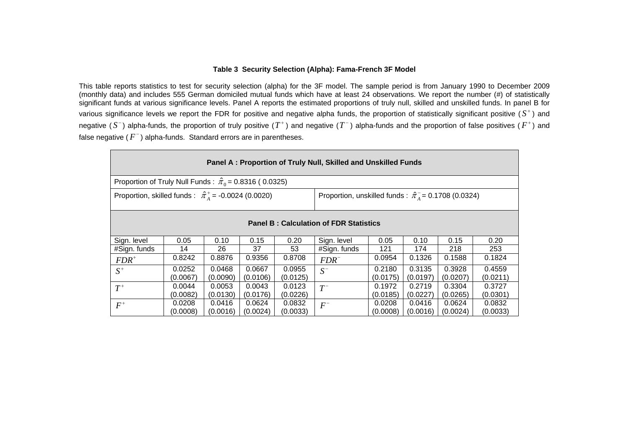#### **Table 3 Security Selection (Alpha): Fama-French 3F Model**

This table reports statistics to test for security selection (alpha) for the 3F model. The sample period is from January 1990 to December 2009 (monthly data) and includes 555 German domiciled mutual funds which have at least 24 observations. We report the number (#) of statistically significant funds at various significance levels. Panel A reports the estimated proportions of truly null, skilled and unskilled funds. In panel B for various significance levels we report the FDR for positive and negative alpha funds, the proportion of statistically significant positive  $(S^+)$  and negative (S<sup>-</sup>) alpha-funds, the proportion of truly positive (T<sup>+</sup>) and negative (T<sup>-</sup>) alpha-funds and the proportion of false positives (F<sup>+</sup>) and false negative ( $F^-$ ) alpha-funds. Standard errors are in parentheses.

| Panel A: Proportion of Truly Null, Skilled and Unskilled Funds                                                                      |                                               |          |          |          |              |          |          |          |          |  |  |  |
|-------------------------------------------------------------------------------------------------------------------------------------|-----------------------------------------------|----------|----------|----------|--------------|----------|----------|----------|----------|--|--|--|
| Proportion of Truly Null Funds : $\hat{\pi}_0$ = 0.8316 (0.0325)                                                                    |                                               |          |          |          |              |          |          |          |          |  |  |  |
| Proportion, skilled funds : $\hat{\pi}_{4}^{+}$ = -0.0024 (0.0020)<br>Proportion, unskilled funds : $\hat{\pi}_4 = 0.1708$ (0.0324) |                                               |          |          |          |              |          |          |          |          |  |  |  |
|                                                                                                                                     | <b>Panel B: Calculation of FDR Statistics</b> |          |          |          |              |          |          |          |          |  |  |  |
| Sign. level                                                                                                                         | 0.05                                          | 0.10     | 0.15     | 0.20     | Sign. level  | 0.05     | 0.10     | 0.15     | 0.20     |  |  |  |
| #Sign. funds                                                                                                                        | 14                                            | 26       | 37       | 53       | #Sign. funds | 121      | 174      | 218      | 253      |  |  |  |
| $FDR^+$                                                                                                                             | 0.8242                                        | 0.8876   | 0.9356   | 0.8708   | $FDR^{-}$    | 0.0954   | 0.1326   | 0.1588   | 0.1824   |  |  |  |
| $S^+$                                                                                                                               | 0.0252                                        | 0.0468   | 0.0667   | 0.0955   | $S^-$        | 0.2180   | 0.3135   | 0.3928   | 0.4559   |  |  |  |
|                                                                                                                                     | (0.0067)                                      | (0.0090) | (0.0106) | (0.0125) |              | (0.0175) | (0.0197) | (0.0207) | (0.0211) |  |  |  |
| $T^+$                                                                                                                               | 0.0044                                        | 0.0053   | 0.0043   | 0.0123   | $T^{-}$      | 0.1972   | 0.2719   | 0.3304   | 0.3727   |  |  |  |
|                                                                                                                                     | (0.0082)                                      | (0.0130) | (0.0176) | (0.0226) |              | (0.0185) | (0.0227) | (0.0265) | (0.0301) |  |  |  |
| $F^+$                                                                                                                               | 0.0208                                        | 0.0416   | 0.0624   | 0.0832   | $F^-$        | 0.0208   | 0.0416   | 0.0624   | 0.0832   |  |  |  |
|                                                                                                                                     | (0.0008)                                      | (0.0016) | (0.0024) | (0.0033) |              | (0.0008) | (0.0016) | (0.0024) | (0.0033) |  |  |  |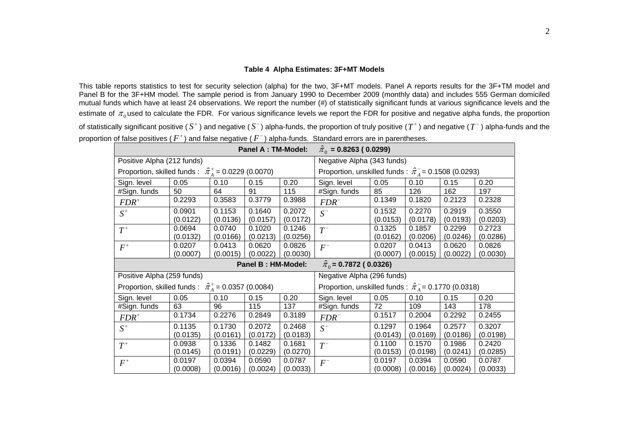#### **Table 4 Alpha Estimates: 3F+MT Models**

This table reports statistics to test for security selection (alpha) for the two, 3F+MT models. Panel A reports results for the 3F+TM model and Panel B for the 3F+HM model. The sample period is from January 1990 to December 2009 (monthly data) and includes 555 German domiciled mutual funds which have at least 24 observations. We report the number (#) of statistically significant funds at various significance levels and the estimate of  $\pi_0$ used to calculate the FDR. For various significance levels we report the FDR for positive and negative alpha funds, the proportion of statistically significant positive ( $S^+$ ) and negative ( $S^-$ ) alpha-funds, the proportion of truly positive ( $T^+$ ) and negative ( $T^-$ ) alpha-funds and the proportion of false positives ( $F^+$ ) and false negative ( $F^-$ ) alpha-funds. Standard errors are in parentheses.

|                                                               |                                                               | <b>Panel A: TM-Model:</b> | $\hat{\pi}_0$ = 0.8263 (0.0299) |          |                                                                 |          |          |                                                                 |          |
|---------------------------------------------------------------|---------------------------------------------------------------|---------------------------|---------------------------------|----------|-----------------------------------------------------------------|----------|----------|-----------------------------------------------------------------|----------|
| Positive Alpha (212 funds)                                    |                                                               |                           |                                 |          | Negative Alpha (343 funds)                                      |          |          |                                                                 |          |
|                                                               | Proportion, skilled funds : $\hat{\pi}_4^+$ = 0.0229 (0.0070) |                           |                                 |          |                                                                 |          |          | Proportion, unskilled funds : $\hat{\pi}_A^-$ = 0.1508 (0.0293) |          |
| Sign. level                                                   | 0.05                                                          | 0.10                      | 0.15                            | 0.20     | Sign. level                                                     | 0.05     | 0.10     | 0.15                                                            | 0.20     |
| #Sign. funds                                                  | 50                                                            | 64                        | 91                              | 115      | #Sign. funds                                                    | 85       | 126      | 162                                                             | 197      |
| $FDR^+$                                                       | 0.2293                                                        | 0.3583                    | 0.3779                          | 0.3988   | $FDR^{-}$                                                       | 0.1349   | 0.1820   | 0.2123                                                          | 0.2328   |
| $S^+$                                                         | 0.0901                                                        | 0.1153                    | 0.1640                          | 0.2072   | $S^-$                                                           | 0.1532   | 0.2270   | 0.2919                                                          | 0.3550   |
|                                                               | (0.0122)                                                      | (0.0136)                  | (0.0157)                        | (0.0172) |                                                                 | (0.0153) | (0.0178) | (0.0193)                                                        | (0.0203) |
| $T^+$                                                         | 0.0694                                                        | 0.0740                    | 0.1020                          | 0.1246   | $T^{-}$                                                         | 0.1325   | 0.1857   | 0.2299                                                          | 0.2723   |
|                                                               | (0.0132)                                                      | (0.0166)                  | (0.0213)                        | (0.0256) |                                                                 | (0.0162) | (0.0206) | (0.0246)                                                        | (0.0286) |
| $F^+$                                                         | 0.0207                                                        | 0.0413                    | 0.0620                          | 0.0826   | $F^-$                                                           | 0.0207   | 0.0413   | 0.0620                                                          | 0.0826   |
|                                                               | (0.0007)                                                      | (0.0015)                  | (0.0022)                        | (0.0030) |                                                                 | (0.0007) | (0.0015) | (0.0022)                                                        | (0.0030) |
| Panel B: HM-Model:<br>$\hat{\pi}_0$ = 0.7872 ( 0.0326)        |                                                               |                           |                                 |          |                                                                 |          |          |                                                                 |          |
|                                                               |                                                               |                           |                                 |          |                                                                 |          |          |                                                                 |          |
| Positive Alpha (259 funds)                                    |                                                               |                           |                                 |          | Negative Alpha (296 funds)                                      |          |          |                                                                 |          |
| Proportion, skilled funds : $\hat{\pi}_A^+$ = 0.0357 (0.0084) |                                                               |                           |                                 |          | Proportion, unskilled funds : $\hat{\pi}_A^-$ = 0.1770 (0.0318) |          |          |                                                                 |          |
| Sign. level                                                   | 0.05                                                          | 0.10                      | 0.15                            | 0.20     | Sign. level                                                     | 0.05     | 0.10     | 0.15                                                            | 0.20     |
| #Sign. funds                                                  | 63                                                            | 96                        | 115                             | 137      | #Sign. funds                                                    | 72       | 109      | 143                                                             | 178      |
| $FDR^+$                                                       | 0.1734                                                        | 0.2276                    | 0.2849                          | 0.3189   | $FDR^{-}$                                                       | 0.1517   | 0.2004   | 0.2292                                                          | 0.2455   |
|                                                               | 0.1135                                                        | 0.1730                    | 0.2072                          | 0.2468   |                                                                 | 0.1297   | 0.1964   | 0.2577                                                          | 0.3207   |
| $S^+$                                                         | (0.0135)                                                      | (0.0161)                  | (0.0172)                        | (0.0183) | $S^-$                                                           | (0.0143) | (0.0169) | (0.0186)                                                        | (0.0198) |
|                                                               | 0.0938                                                        | 0.1336                    | 0.1482                          | 0.1681   |                                                                 | 0.1100   | 0.1570   | 0.1986                                                          | 0.2420   |
| $T^+$                                                         | (0.0145)                                                      | (0.0191)                  | (0.0229)                        | (0.0270) | $T^{-}$                                                         | (0.0153) | (0.0198) | (0.0241)                                                        | (0.0285) |
| $F^+$                                                         | 0.0197                                                        | 0.0394                    | 0.0590                          | 0.0787   | $F^-$                                                           | 0.0197   | 0.0394   | 0.0590                                                          | 0.0787   |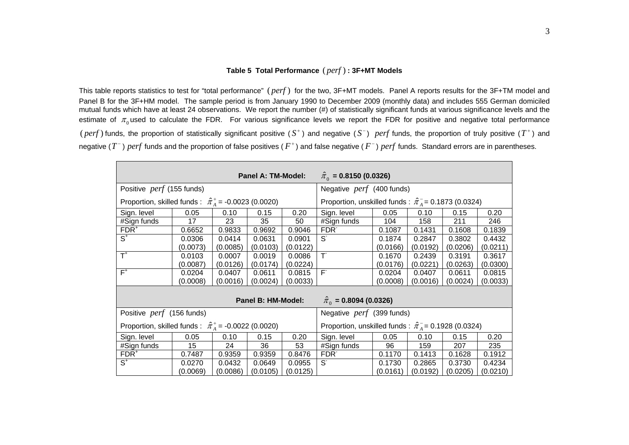#### **Table 5 Total Performance** ( ) *perf* **: 3F+MT Models**

This table reports statistics to test for "total performance" (perf) for the two, 3F+MT models. Panel A reports results for the 3F+TM model and Panel B for the 3F+HM model. The sample period is from January 1990 to December 2009 (monthly data) and includes 555 German domiciled mutual funds which have at least 24 observations. We report the number (#) of statistically significant funds at various significance levels and the estimate of  $\pi_0$ used to calculate the FDR. For various significance levels we report the FDR for positive and negative total performance (  $perf$ ) funds, the proportion of statistically significant positive ( $S^+$ ) and negative ( $S^-$ ) perf funds, the proportion of truly positive ( $T^+$ ) and negative ( $T^-$ ) *perf* funds and the proportion of false positives ( $F^+$ ) and false negative ( $F^-$ ) *perf* funds. Standard errors are in parentheses.

|                                                                | $\hat{\pi}_0$ = 0.8150 (0.0326)<br>Panel A: TM-Model:              |                           |                    |          |                                                               |          |                                                               |          |          |  |  |  |
|----------------------------------------------------------------|--------------------------------------------------------------------|---------------------------|--------------------|----------|---------------------------------------------------------------|----------|---------------------------------------------------------------|----------|----------|--|--|--|
| Positive <i>perf</i> (155 funds)                               |                                                                    | Negative perf (400 funds) |                    |          |                                                               |          |                                                               |          |          |  |  |  |
|                                                                | Proportion, skilled funds : $\hat{\pi}_{A}^{+}$ = -0.0023 (0.0020) |                           |                    |          |                                                               |          | Proportion, unskilled funds : $\hat{\pi}_4 = 0.1873$ (0.0324) |          |          |  |  |  |
| Sign. level                                                    | 0.05                                                               | 0.10                      | 0.15               | 0.20     | Sign. level                                                   | 0.05     | 0.10                                                          | 0.15     | 0.20     |  |  |  |
| #Sign funds                                                    | 17                                                                 | 23                        | 35                 | 50       | #Sign funds                                                   | 104      | 158                                                           | 211      | 246      |  |  |  |
| $FDR+$                                                         | 0.6652                                                             | 0.9833                    | 0.9692             | 0.9046   | FDR <sup>-</sup>                                              | 0.1087   | 0.1431                                                        | 0.1608   | 0.1839   |  |  |  |
| $\overline{\mathsf{S}^{^+}}$                                   | 0.0306                                                             | 0.0414                    | 0.0631             | 0.0901   | $S^{\cdot}$                                                   | 0.1874   | 0.2847                                                        | 0.3802   | 0.4432   |  |  |  |
|                                                                | (0.0073)                                                           | (0.0085)                  | (0.0103)           | (0.0122) |                                                               | (0.0166) | (0.0192)                                                      | (0.0206) | (0.0211) |  |  |  |
| $T^*$                                                          | 0.0103                                                             | 0.0007                    | 0.0019             | 0.0086   | $\overline{\mathsf{T}}$                                       | 0.1670   | 0.2439                                                        | 0.3191   | 0.3617   |  |  |  |
|                                                                | (0.0087)                                                           | (0.0126)                  | (0.0174)           | (0.0224) |                                                               | (0.0176) | (0.0221)                                                      | (0.0263) | (0.0300) |  |  |  |
| $F^+$                                                          | 0.0204                                                             | 0.0407                    | 0.0611             | 0.0815   | $\overline{F}$                                                | 0.0204   | 0.0407                                                        | 0.0611   | 0.0815   |  |  |  |
|                                                                | (0.0008)                                                           | (0.0016)                  | (0.0024)           | (0.0033) |                                                               | (0.0008) | (0.0016)                                                      | (0.0024) | (0.0033) |  |  |  |
|                                                                |                                                                    |                           | Panel B: HM-Model: |          | $\hat{\pi}_0$ = 0.8094 (0.0326)                               |          |                                                               |          |          |  |  |  |
| Positive <i>perf</i> (156 funds)                               |                                                                    |                           |                    |          | Negative perf (399 funds)                                     |          |                                                               |          |          |  |  |  |
| Proportion, skilled funds : $\hat{\pi}_A^+$ = -0.0022 (0.0020) |                                                                    |                           |                    |          | Proportion, unskilled funds : $\hat{\pi}_4 = 0.1928$ (0.0324) |          |                                                               |          |          |  |  |  |
| Sign. level                                                    | 0.05                                                               | 0.10                      | 0.15               | 0.20     | Sign. level                                                   | 0.05     | 0.10                                                          | 0.15     | 0.20     |  |  |  |
| #Sign funds                                                    | 15                                                                 | 24                        | 36                 | 53       | #Sign funds                                                   | 96       | 159                                                           | 207      | 235      |  |  |  |
| $FDR+$                                                         | 0.7487                                                             | 0.9359                    | 0.9359             | 0.8476   | FDR <sup>-</sup>                                              | 0.1170   | 0.1413                                                        | 0.1628   | 0.1912   |  |  |  |
| $\overline{\mathsf{S}^{*}}$                                    | 0.0270                                                             | 0.0432                    | 0.0649             | 0.0955   | $S^{\cdot}$                                                   | 0.1730   | 0.2865                                                        | 0.3730   | 0.4234   |  |  |  |
|                                                                | (0.0069)                                                           | (0.0086)                  | (0.0105)           | (0.0125) |                                                               | (0.0161) | (0.0192)                                                      | (0.0205) | (0.0210) |  |  |  |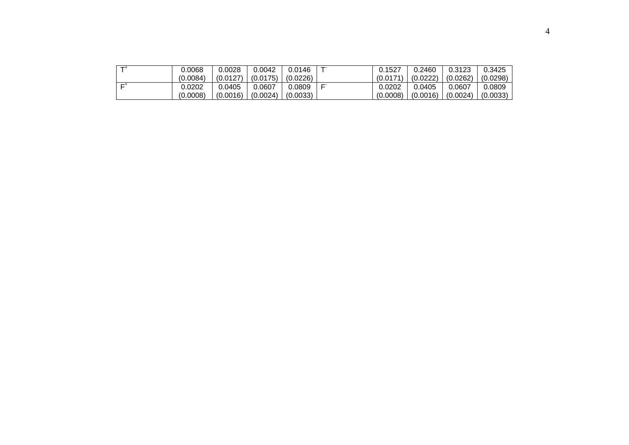| $-+$ | 0.0068   | 0.0028   | 0.0042   | 0.0146   | --    | 0.1527   | 0.2460   | 0.3123   | 0.3425   |
|------|----------|----------|----------|----------|-------|----------|----------|----------|----------|
|      | (0.0084) | (0.0127) | (0.0175) | (0.0226) |       | (0.0171) | (0.0222) | (0.0262) | (0.0298) |
| $-+$ | 0.0202   | 0.0405   | 0.0607   | 0.0809   | $- -$ | 0.0202   | 0.0405   | 0.0607   | 0.0809   |
|      | (0.0008) | (0.0016) | (0.0024) | (0.0033) |       | (0.0008) | (0.0016) | (0.0024) | (0.0033) |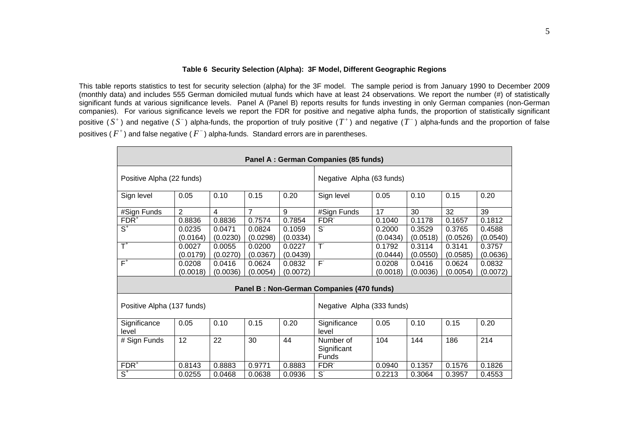#### **Table 6 Security Selection (Alpha): 3F Model, Different Geographic Regions**

This table reports statistics to test for security selection (alpha) for the 3F model. The sample period is from January 1990 to December 2009 (monthly data) and includes 555 German domiciled mutual funds which have at least 24 observations. We report the number (#) of statistically significant funds at various significance levels. Panel A (Panel B) reports results for funds investing in only German companies (non-German companies). For various significance levels we report the FDR for positive and negative alpha funds, the proportion of statistically significant positive ( $S^+$ ) and negative ( $S^-$ ) alpha-funds, the proportion of truly positive ( $T^+$ ) and negative ( $T^-$ ) alpha-funds and the proportion of false positives (  $F^+$  ) and false negative (  $F^-$  ) alpha-funds. Standard errors are in parentheses.

| Panel A : German Companies (85 funds) |                |                |          |          |                                           |                           |          |          |          |  |  |
|---------------------------------------|----------------|----------------|----------|----------|-------------------------------------------|---------------------------|----------|----------|----------|--|--|
| Positive Alpha (22 funds)             |                |                |          |          |                                           | Negative Alpha (63 funds) |          |          |          |  |  |
| Sign level                            | 0.05           | 0.10           | 0.15     | 0.20     | Sign level                                | 0.05                      | 0.10     | 0.15     | 0.20     |  |  |
| #Sign Funds                           | $\overline{2}$ | $\overline{4}$ | 7        | 9        | #Sign Funds                               | 17                        | 30       | 32       | 39       |  |  |
| $FDR+$                                | 0.8836         | 0.8836         | 0.7574   | 0.7854   | FDR <sup>-</sup>                          | 0.1040                    | 0.1178   | 0.1657   | 0.1812   |  |  |
| $\overline{\mathsf{S}^{*}}$           | 0.0235         | 0.0471         | 0.0824   | 0.1059   | $S^{\cdot}$                               | 0.2000                    | 0.3529   | 0.3765   | 0.4588   |  |  |
|                                       | (0.0164)       | (0.0230)       | (0.0298) | (0.0334) |                                           | (0.0434)                  | (0.0518) | (0.0526) | (0.0540) |  |  |
| $\overline{T}^+$                      | 0.0027         | 0.0055         | 0.0200   | 0.0227   | T                                         | 0.1792                    | 0.3114   | 0.3141   | 0.3757   |  |  |
|                                       | (0.0179)       | (0.0270)       | (0.0367) | (0.0439) |                                           | (0.0444)                  | (0.0550) | (0.0585) | (0.0636) |  |  |
| $F^+$                                 | 0.0208         | 0.0416         | 0.0624   | 0.0832   | $\overline{F}$                            | 0.0208                    | 0.0416   | 0.0624   | 0.0832   |  |  |
|                                       | (0.0018)       | (0.0036)       | (0.0054) | (0.0072) |                                           | (0.0018)                  | (0.0036) | (0.0054) | (0.0072) |  |  |
|                                       |                |                |          |          | Panel B: Non-German Companies (470 funds) |                           |          |          |          |  |  |
| Positive Alpha (137 funds)            |                |                |          |          | Negative Alpha (333 funds)                |                           |          |          |          |  |  |
| Significance<br>level                 | 0.05           | 0.10           | 0.15     | 0.20     | Significance<br>level                     | 0.05                      | 0.10     | 0.15     | 0.20     |  |  |
| # Sign Funds                          | 12             | 22             | 30       | 44       | Number of<br>Significant<br>Funds         | 104                       | 144      | 186      | 214      |  |  |
| $FDR^+$                               | 0.8143         | 0.8883         | 0.9771   | 0.8883   | FDR <sup>-</sup>                          | 0.0940                    | 0.1357   | 0.1576   | 0.1826   |  |  |
| $\overline{\mathsf{S}^{*}}$           | 0.0255         | 0.0468         | 0.0638   | 0.0936   | $S^{\cdot}$                               | 0.2213                    | 0.3064   | 0.3957   | 0.4553   |  |  |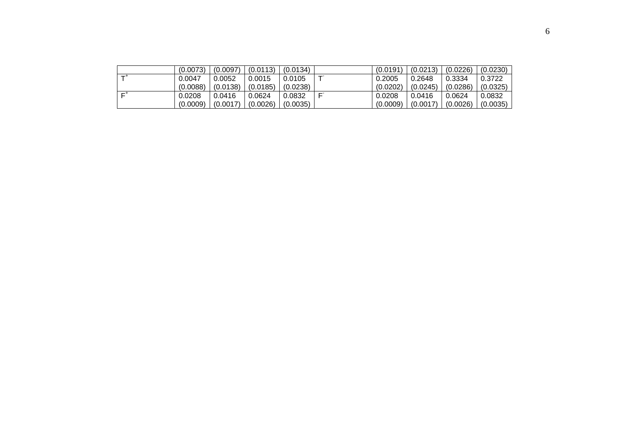|    | (0.0073) | (0.0097) | (0.0113) | (0.0134) |   | (0.0191) | (0.0213) | (0.0226) | (0.0230) |
|----|----------|----------|----------|----------|---|----------|----------|----------|----------|
| ᠇᠊ | 0.0047   | 0.0052   | 0.0015   | 0.0105   |   | 0.2005   | 0.2648   | 0.3334   | 0.3722   |
|    | (0.0088) | (0.0138) | (0.0185) | (0.0238) |   | (0.0202) | (0.0245) | (0.0286) | (0.0325) |
| r  | 0.0208   | 0.0416   | 0.0624   | 0.0832   | - | 0.0208   | 0.0416   | 0.0624   | 0.0832   |
|    | (0.0009) | (0.0017) | (0.0026) | (0.0035) |   | (0.0009) | (0.0017) | (0.0026) | (0.0035) |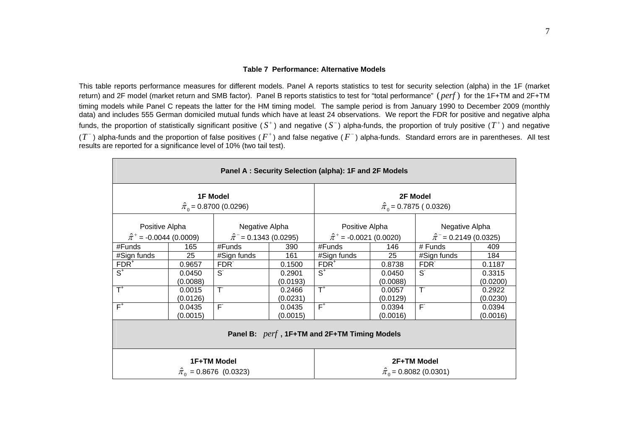#### **Table 7 Performance: Alternative Models**

This table reports performance measures for different models. Panel A reports statistics to test for security selection (alpha) in the 1F (market return) and 2F model (market return and SMB factor). Panel B reports statistics to test for "total performance" (*perf*) for the 1F+TM and 2F+TM timing models while Panel C repeats the latter for the HM timing model. The sample period is from January 1990 to December 2009 (monthly data) and includes 555 German domiciled mutual funds which have at least 24 observations. We report the FDR for positive and negative alpha funds, the proportion of statistically significant positive  $(S^+)$  and negative  $(S^-)$  alpha-funds, the proportion of truly positive  $(T^+)$  and negative  $(T^-)$  alpha-funds and the proportion of false positives  $(F^+)$  and false negative  $(F^-)$  alpha-funds. Standard errors are in parentheses. All test results are reported for a significance level of 10% (two tail test).

| Panel A: Security Selection (alpha): 1F and 2F Models |          |                                                    |          |                                  |          |                                                |          |  |  |  |  |
|-------------------------------------------------------|----------|----------------------------------------------------|----------|----------------------------------|----------|------------------------------------------------|----------|--|--|--|--|
|                                                       |          | <b>1F Model</b><br>$\hat{\pi}_0$ = 0.8700 (0.0296) |          |                                  |          | 2F Model<br>$\hat{\pi}_0$ = 0.7875 (0.0326)    |          |  |  |  |  |
| Positive Alpha                                        |          | Negative Alpha                                     |          | Positive Alpha                   |          | Negative Alpha                                 |          |  |  |  |  |
| $\hat{\pi}^+$ = -0.0044 (0.0009)                      |          | $\hat{\pi}$ <sup>-</sup> = 0.1343 (0.0295)         |          | $\hat{\pi}^+$ = -0.0021 (0.0020) |          | $\hat{\pi}$ <sup>-</sup> = 0.2149 (0.0325)     |          |  |  |  |  |
| #Funds                                                | 165      | #Funds                                             | 390      | #Funds                           | 146      | # Funds                                        | 409      |  |  |  |  |
| #Sign funds                                           | 25       | #Sign funds                                        | 161      | #Sign funds                      | 25       | #Sign funds                                    | 184      |  |  |  |  |
| $FDR+$                                                | 0.9657   | FDR <sup>-</sup>                                   | 0.1500   | $FDR+$                           | 0.8738   | FDR <sup>-</sup>                               | 0.1187   |  |  |  |  |
| $S^+$                                                 | 0.0450   | S.                                                 | 0.2901   | $S^+$                            | 0.0450   | S <sup>-</sup>                                 | 0.3315   |  |  |  |  |
|                                                       | (0.0088) |                                                    | (0.0193) |                                  | (0.0088) |                                                | (0.0200) |  |  |  |  |
| $\overline{\mathsf{T}}^*$                             | 0.0015   | T                                                  | 0.2466   | $\overline{\mathsf{T}}^*$        | 0.0057   | $\top$                                         | 0.2922   |  |  |  |  |
|                                                       | (0.0126) |                                                    | (0.0231) |                                  | (0.0129) |                                                | (0.0230) |  |  |  |  |
| $F^+$                                                 | 0.0435   | $\overline{\mathsf{F}}$                            | 0.0435   | $F^+$                            | 0.0394   | F                                              | 0.0394   |  |  |  |  |
|                                                       | (0.0015) |                                                    | (0.0015) |                                  | (0.0016) |                                                | (0.0016) |  |  |  |  |
| Panel B: perf, 1F+TM and 2F+TM Timing Models          |          |                                                    |          |                                  |          |                                                |          |  |  |  |  |
|                                                       |          | 1F+TM Model<br>$\hat{\pi}_0$ = 0.8676 (0.0323)     |          |                                  |          | 2F+TM Model<br>$\hat{\pi}_0$ = 0.8082 (0.0301) |          |  |  |  |  |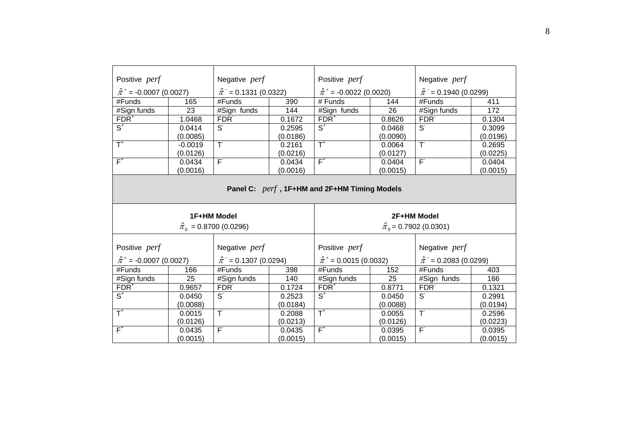| Positive perf                                |           | Negative perf                              |          | Positive perf                    |          | Negative perf                              |          |
|----------------------------------------------|-----------|--------------------------------------------|----------|----------------------------------|----------|--------------------------------------------|----------|
|                                              |           |                                            |          |                                  |          |                                            |          |
| $\hat{\pi}^+$ = -0.0007 (0.0027)             |           | $\hat{\pi}$ <sup>-</sup> = 0.1331 (0.0322) |          | $\hat{\pi}^+$ = -0.0022 (0.0020) |          | $\hat{\pi}$ <sup>-</sup> = 0.1940 (0.0299) |          |
| #Funds                                       | 165       | #Funds                                     | 390      | # Funds                          | 144      | #Funds                                     | 411      |
| #Sign funds                                  | 23        | #Sign funds                                | 144      | #Sign funds                      | 26       | #Sign funds                                | 172      |
| $FDR^+$                                      | 1.0468    | FDR <sup>-</sup>                           | 0.1672   | $FDR+$                           | 0.8626   | FDR <sup>-</sup>                           | 0.1304   |
| $\overline{\mathsf{S}^{^+}}$                 | 0.0414    | $S^{\cdot}$                                | 0.2595   | $\overline{S^+}$                 | 0.0468   | $S^{\cdot}$                                | 0.3099   |
|                                              | (0.0085)  |                                            | (0.0186) |                                  | (0.0090) |                                            | (0.0196) |
| $\overline{\mathsf{T}}^*$                    | $-0.0019$ | $\overline{\top}$                          | 0.2161   | $\overline{T}^*$                 | 0.0064   | $\overline{T}$                             | 0.2695   |
|                                              | (0.0126)  |                                            | (0.0216) |                                  | (0.0127) |                                            | (0.0225) |
| $F^+$                                        | 0.0434    | F                                          | 0.0434   | $F^+$                            | 0.0404   | $\overline{F}$                             | 0.0404   |
|                                              | (0.0016)  |                                            | (0.0016) |                                  | (0.0015) |                                            | (0.0015) |
| Panel C: perf, 1F+HM and 2F+HM Timing Models |           |                                            |          |                                  |          |                                            |          |
|                                              |           |                                            |          |                                  |          |                                            |          |
|                                              |           | 1F+HM Model                                |          |                                  |          | 2F+HM Model                                |          |
|                                              |           | $\hat{\pi}_0$ = 0.8700 (0.0296)            |          |                                  |          | $\hat{\pi}_0$ = 0.7902 (0.0301)            |          |
| Positive perf                                |           | Negative perf                              |          | Positive perf                    |          | Negative perf                              |          |
| $\hat{\pi}^+$ = -0.0007 (0.0027)             |           | $\hat{\pi}$ <sup>-</sup> = 0.1307 (0.0294) |          | $\hat{\pi}^+$ = 0.0015 (0.0032)  |          | $\hat{\pi}$ <sup>-</sup> = 0.2083 (0.0299) |          |
| #Funds                                       | 166       | #Funds                                     | 398      | #Funds                           | 152      | #Funds                                     | 403      |
| #Sign funds                                  | 25        | #Sign funds                                | 140      | #Sign funds                      | 25       | #Sign funds                                | 166      |
| $FDR+$                                       | 0.9657    | FDR <sup>-</sup>                           | 0.1724   | $FDR+$                           | 0.8771   | FDR <sup>-</sup>                           | 0.1321   |
| $S^+$                                        | 0.0450    | $S^{\cdot}$                                | 0.2523   | $S^+$                            | 0.0450   | $S^{\cdot}$                                | 0.2991   |
|                                              | (0.0088)  |                                            | (0.0184) |                                  | (0.0088) |                                            | (0.0194) |
| $\overline{\mathsf{T}}^*$                    | 0.0015    | T                                          | 0.2088   | $T^*$                            | 0.0055   | T                                          | 0.2596   |
|                                              | (0.0126)  |                                            | (0.0213) |                                  | (0.0126) |                                            | (0.0223) |
| $F^+$                                        | 0.0435    | $\overline{F}$                             | 0.0435   | $F^+$                            | 0.0395   | $F^{\circ}$                                | 0.0395   |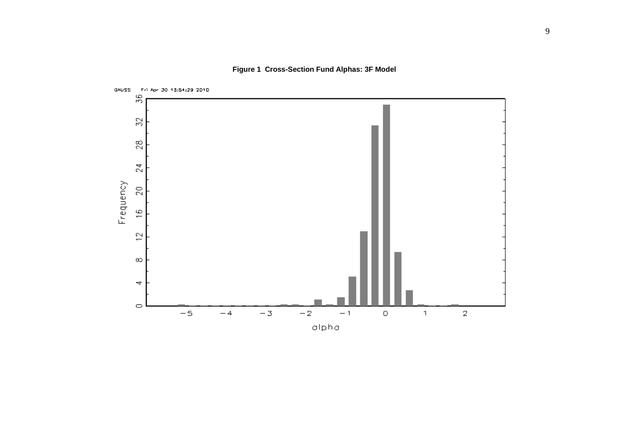**Figure 1 Cross-Section Fund Alphas: 3F Model** 

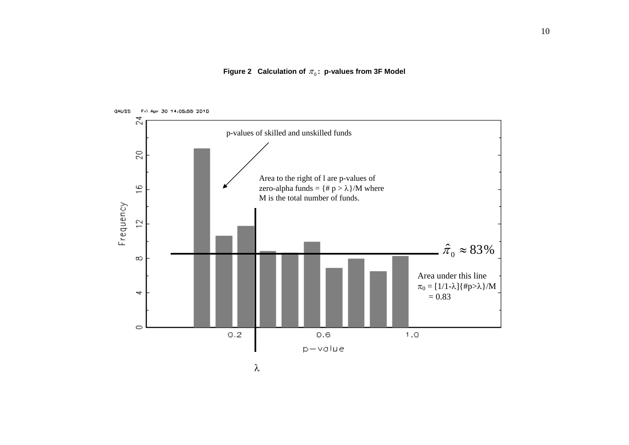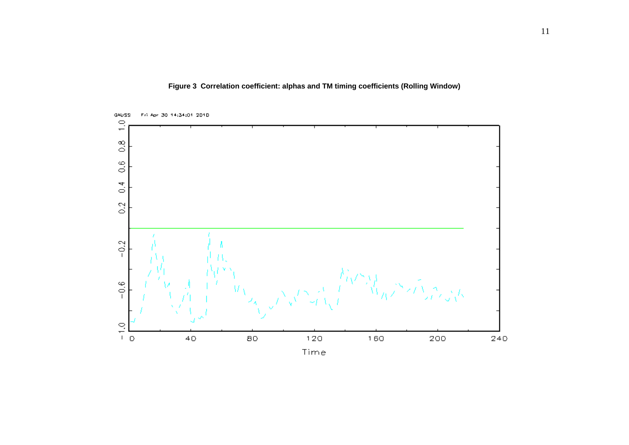

**Figure 3 Correlation coefficient: alphas and TM timing coefficients (Rolling Window)**